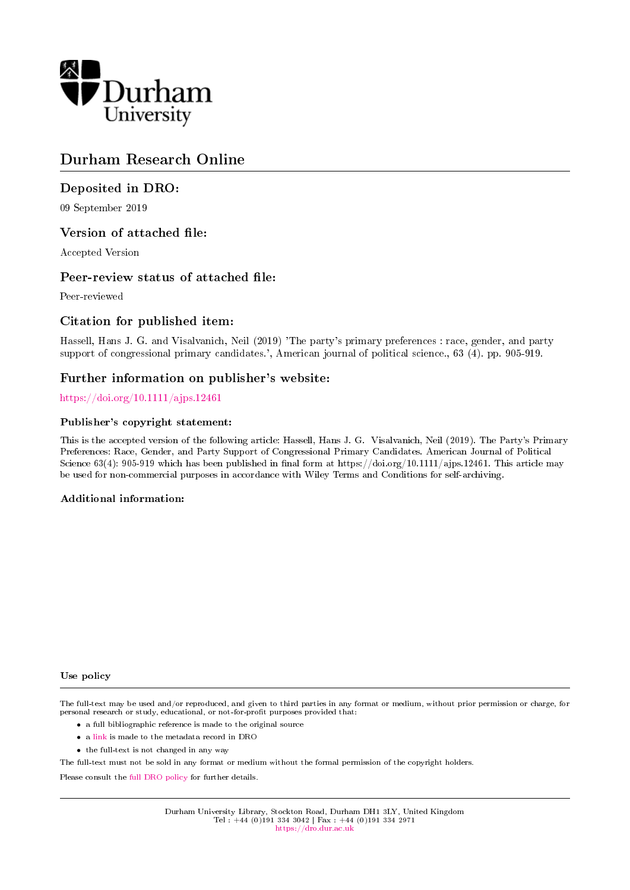

## Durham Research Online

#### Deposited in DRO:

09 September 2019

#### Version of attached file:

Accepted Version

#### Peer-review status of attached file:

Peer-reviewed

#### Citation for published item:

Hassell, Hans J. G. and Visalvanich, Neil (2019) 'The party's primary preferences : race, gender, and party support of congressional primary candidates.', American journal of political science., 63 (4). pp. 905-919.

#### Further information on publisher's website:

#### <https://doi.org/10.1111/ajps.12461>

#### Publisher's copyright statement:

This is the accepted version of the following article: Hassell, Hans J. G. Visalvanich, Neil (2019). The Party's Primary Preferences: Race, Gender, and Party Support of Congressional Primary Candidates. American Journal of Political Science 63(4): 905-919 which has been published in final form at https://doi.org/10.1111/ajps.12461. This article may be used for non-commercial purposes in accordance with Wiley Terms and Conditions for self-archiving.

#### Additional information:

#### Use policy

The full-text may be used and/or reproduced, and given to third parties in any format or medium, without prior permission or charge, for personal research or study, educational, or not-for-profit purposes provided that:

- a full bibliographic reference is made to the original source
- a [link](http://dro.dur.ac.uk/29030/) is made to the metadata record in DRO
- the full-text is not changed in any way

The full-text must not be sold in any format or medium without the formal permission of the copyright holders.

Please consult the [full DRO policy](https://dro.dur.ac.uk/policies/usepolicy.pdf) for further details.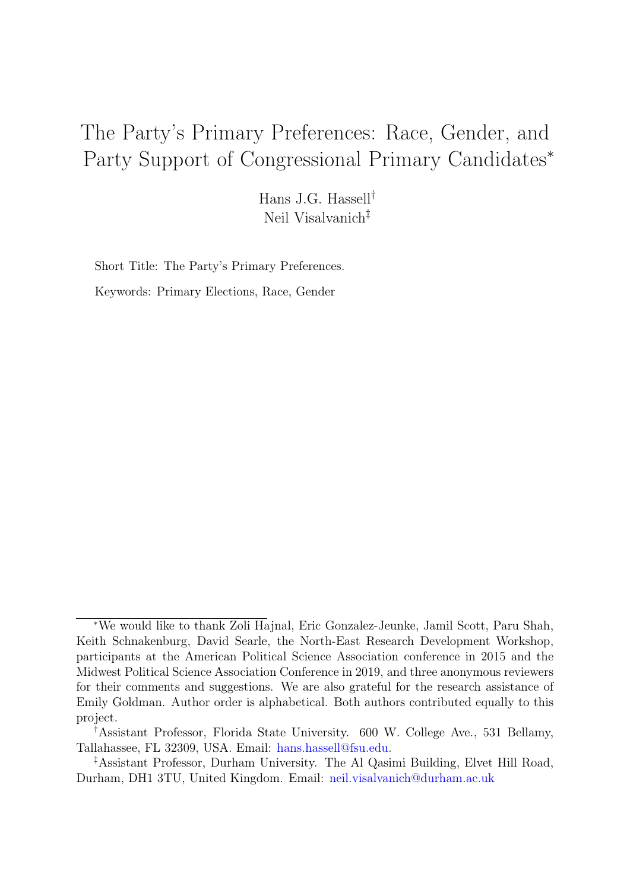# <span id="page-1-0"></span>The Party's Primary Preferences: Race, Gender, and Party Support of Congressional Primary Candidates<sup>∗</sup>

Hans J.G. Hassell† Neil Visalvanich‡

Short Title: The Party's Primary Preferences.

Keywords: Primary Elections, Race, Gender

<sup>∗</sup>We would like to thank Zoli Hajnal, Eric Gonzalez-Jeunke, Jamil Scott, Paru Shah, Keith Schnakenburg, David Searle, the North-East Research Development Workshop, participants at the American Political Science Association conference in 2015 and the Midwest Political Science Association Conference in 2019, and three anonymous reviewers for their comments and suggestions. We are also grateful for the research assistance of Emily Goldman. Author order is alphabetical. Both authors contributed equally to this project.

<sup>†</sup>Assistant Professor, Florida State University. 600 W. College Ave., 531 Bellamy, Tallahassee, FL 32309, USA. Email: [hans.hassell@fsu.edu.](mailto:hans.hassell@fsu.edu)

<sup>‡</sup>Assistant Professor, Durham University. The Al Qasimi Building, Elvet Hill Road, Durham, DH1 3TU, United Kingdom. Email: [neil.visalvanich@durham.ac.uk](mailto:neil.visalvanich@durham.ac.uk)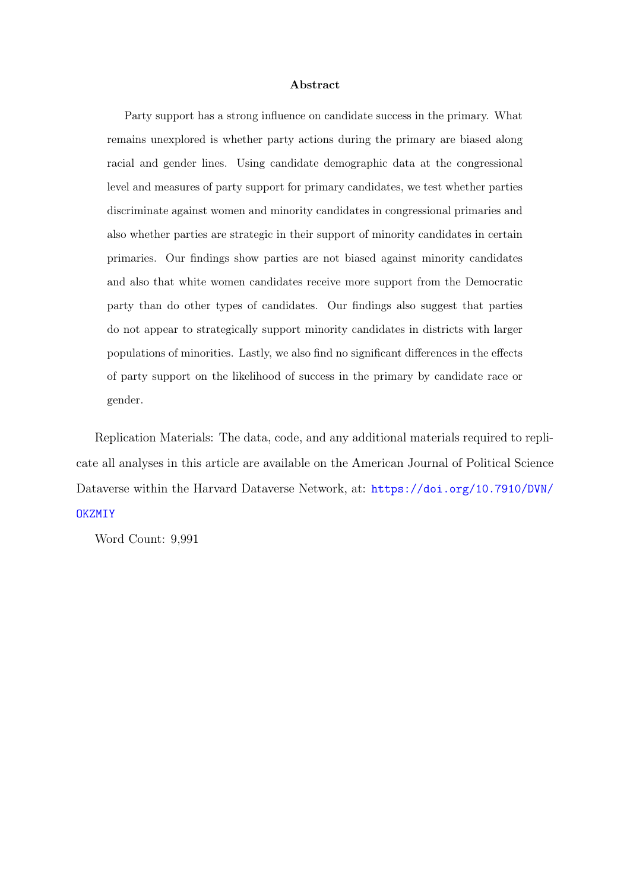#### Abstract

Party support has a strong influence on candidate success in the primary. What remains unexplored is whether party actions during the primary are biased along racial and gender lines. Using candidate demographic data at the congressional level and measures of party support for primary candidates, we test whether parties discriminate against women and minority candidates in congressional primaries and also whether parties are strategic in their support of minority candidates in certain primaries. Our findings show parties are not biased against minority candidates and also that white women candidates receive more support from the Democratic party than do other types of candidates. Our findings also suggest that parties do not appear to strategically support minority candidates in districts with larger populations of minorities. Lastly, we also find no significant differences in the effects of party support on the likelihood of success in the primary by candidate race or gender.

Replication Materials: The data, code, and any additional materials required to replicate all analyses in this article are available on the American Journal of Political Science Dataverse within the Harvard Dataverse Network, at: [https://doi.org/10.7910/DVN/](https://doi.org/10.7910/DVN/OKZMIY) [OKZMIY](https://doi.org/10.7910/DVN/OKZMIY)

Word Count: 9,991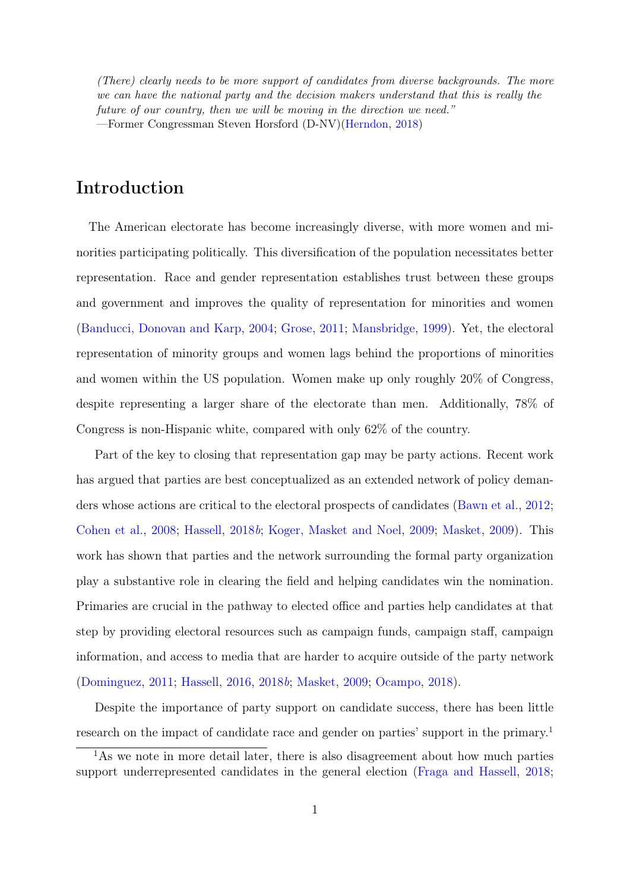(There) clearly needs to be more support of candidates from diverse backgrounds. The more we can have the national party and the decision makers understand that this is really the future of our country, then we will be moving in the direction we need." —Former Congressman Steven Horsford (D-NV)[\(Herndon,](#page-29-0) [2018\)](#page-29-0)

## Introduction

The American electorate has become increasingly diverse, with more women and minorities participating politically. This diversification of the population necessitates better representation. Race and gender representation establishes trust between these groups and government and improves the quality of representation for minorities and women [\(Banducci, Donovan and Karp,](#page-27-0) [2004;](#page-27-0) [Grose,](#page-29-1) [2011;](#page-29-1) [Mansbridge,](#page-30-0) [1999\)](#page-30-0). Yet, the electoral representation of minority groups and women lags behind the proportions of minorities and women within the US population. Women make up only roughly 20% of Congress, despite representing a larger share of the electorate than men. Additionally, 78% of Congress is non-Hispanic white, compared with only 62% of the country.

Part of the key to closing that representation gap may be party actions. Recent work has argued that parties are best conceptualized as an extended network of policy deman-ders whose actions are critical to the electoral prospects of candidates [\(Bawn et al.,](#page-27-1) [2012;](#page-27-1) [Cohen et al.,](#page-27-2) [2008;](#page-27-2) [Hassell,](#page-29-2) [2018](#page-29-2)b; [Koger, Masket and Noel,](#page-30-1) [2009;](#page-30-1) [Masket,](#page-30-2) [2009\)](#page-30-2). This work has shown that parties and the network surrounding the formal party organization play a substantive role in clearing the field and helping candidates win the nomination. Primaries are crucial in the pathway to elected office and parties help candidates at that step by providing electoral resources such as campaign funds, campaign staff, campaign information, and access to media that are harder to acquire outside of the party network [\(Dominguez,](#page-28-0) [2011;](#page-28-0) [Hassell,](#page-29-3) [2016,](#page-29-3) [2018](#page-29-2)b; [Masket,](#page-30-2) [2009;](#page-30-2) [Ocampo,](#page-30-3) [2018\)](#page-30-3).

Despite the importance of party support on candidate success, there has been little research on the impact of candidate race and gender on parties' support in the primary.<sup>[1](#page-1-0)</sup>

<sup>&</sup>lt;sup>1</sup>As we note in more detail later, there is also disagreement about how much parties support underrepresented candidates in the general election [\(Fraga and Hassell,](#page-28-1) [2018;](#page-28-1)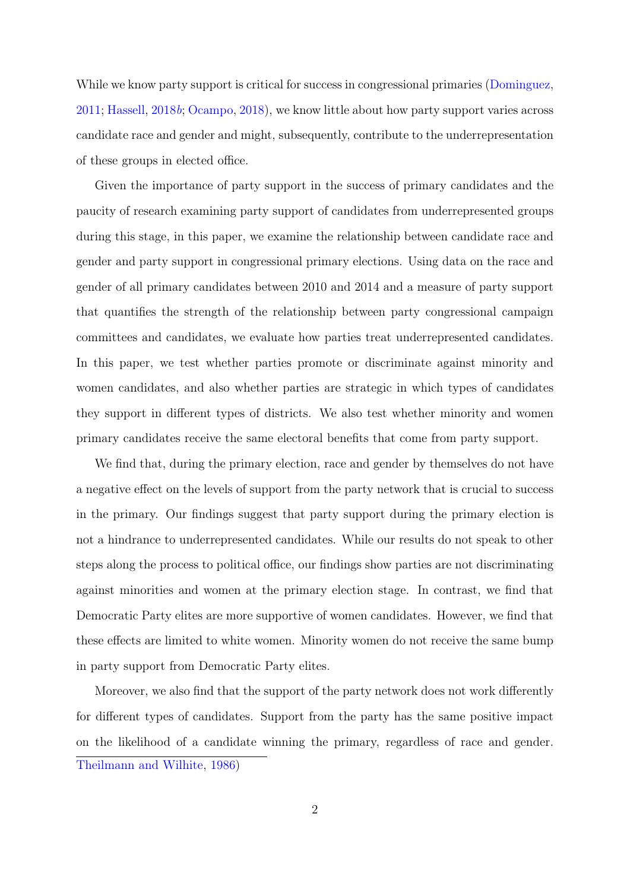While we know party support is critical for success in congressional primaries [\(Dominguez,](#page-28-0) [2011;](#page-28-0) [Hassell,](#page-29-2) [2018](#page-29-2)b; [Ocampo,](#page-30-3) [2018\)](#page-30-3), we know little about how party support varies across candidate race and gender and might, subsequently, contribute to the underrepresentation of these groups in elected office.

Given the importance of party support in the success of primary candidates and the paucity of research examining party support of candidates from underrepresented groups during this stage, in this paper, we examine the relationship between candidate race and gender and party support in congressional primary elections. Using data on the race and gender of all primary candidates between 2010 and 2014 and a measure of party support that quantifies the strength of the relationship between party congressional campaign committees and candidates, we evaluate how parties treat underrepresented candidates. In this paper, we test whether parties promote or discriminate against minority and women candidates, and also whether parties are strategic in which types of candidates they support in different types of districts. We also test whether minority and women primary candidates receive the same electoral benefits that come from party support.

We find that, during the primary election, race and gender by themselves do not have a negative effect on the levels of support from the party network that is crucial to success in the primary. Our findings suggest that party support during the primary election is not a hindrance to underrepresented candidates. While our results do not speak to other steps along the process to political office, our findings show parties are not discriminating against minorities and women at the primary election stage. In contrast, we find that Democratic Party elites are more supportive of women candidates. However, we find that these effects are limited to white women. Minority women do not receive the same bump in party support from Democratic Party elites.

Moreover, we also find that the support of the party network does not work differently for different types of candidates. Support from the party has the same positive impact on the likelihood of a candidate winning the primary, regardless of race and gender. [Theilmann and Wilhite,](#page-31-0) [1986\)](#page-31-0)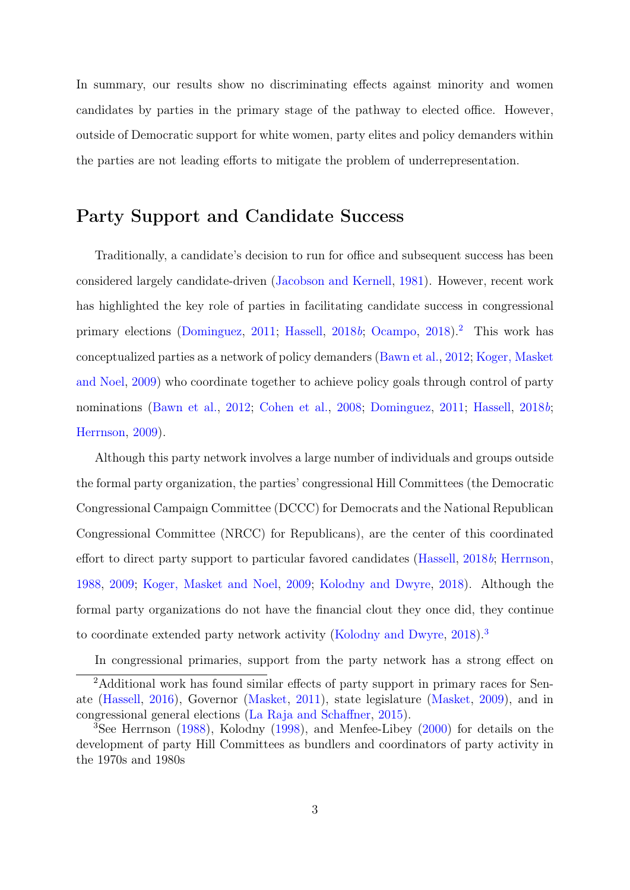In summary, our results show no discriminating effects against minority and women candidates by parties in the primary stage of the pathway to elected office. However, outside of Democratic support for white women, party elites and policy demanders within the parties are not leading efforts to mitigate the problem of underrepresentation.

## Party Support and Candidate Success

Traditionally, a candidate's decision to run for office and subsequent success has been considered largely candidate-driven [\(Jacobson and Kernell,](#page-29-4) [1981\)](#page-29-4). However, recent work has highlighted the key role of parties in facilitating candidate success in congressional primary elections [\(Dominguez,](#page-28-0) [2011;](#page-28-0) [Hassell,](#page-29-2) [2018](#page-29-2)b; [Ocampo,](#page-30-3) [2018\)](#page-30-3).<sup>[2](#page-1-0)</sup> This work has conceptualized parties as a network of policy demanders [\(Bawn et al.,](#page-27-1) [2012;](#page-27-1) [Koger, Masket](#page-30-1) [and Noel,](#page-30-1) [2009\)](#page-30-1) who coordinate together to achieve policy goals through control of party nominations [\(Bawn et al.,](#page-27-1) [2012;](#page-27-1) [Cohen et al.,](#page-27-2) [2008;](#page-27-2) [Dominguez,](#page-28-0) [2011;](#page-28-0) [Hassell,](#page-29-2) [2018](#page-29-2)b; [Herrnson,](#page-29-5) [2009\)](#page-29-5).

Although this party network involves a large number of individuals and groups outside the formal party organization, the parties' congressional Hill Committees (the Democratic Congressional Campaign Committee (DCCC) for Democrats and the National Republican Congressional Committee (NRCC) for Republicans), are the center of this coordinated effort to direct party support to particular favored candidates [\(Hassell,](#page-29-2) [2018](#page-29-2)b; [Herrnson,](#page-29-6) [1988,](#page-29-6) [2009;](#page-29-5) [Koger, Masket and Noel,](#page-30-1) [2009;](#page-30-1) [Kolodny and Dwyre,](#page-30-4) [2018\)](#page-30-4). Although the formal party organizations do not have the financial clout they once did, they continue to coordinate extended party network activity [\(Kolodny and Dwyre,](#page-30-4) [2018\)](#page-30-4).<sup>[3](#page-1-0)</sup>

In congressional primaries, support from the party network has a strong effect on

<sup>2</sup>Additional work has found similar effects of party support in primary races for Senate [\(Hassell,](#page-29-3) [2016\)](#page-29-3), Governor [\(Masket,](#page-30-5) [2011\)](#page-30-5), state legislature [\(Masket,](#page-30-2) [2009\)](#page-30-2), and in congressional general elections [\(La Raja and Schaffner,](#page-30-6) [2015\)](#page-30-6).

<sup>3</sup>See Herrnson [\(1988\)](#page-29-6), Kolodny [\(1998\)](#page-30-7), and Menfee-Libey [\(2000\)](#page-30-8) for details on the development of party Hill Committees as bundlers and coordinators of party activity in the 1970s and 1980s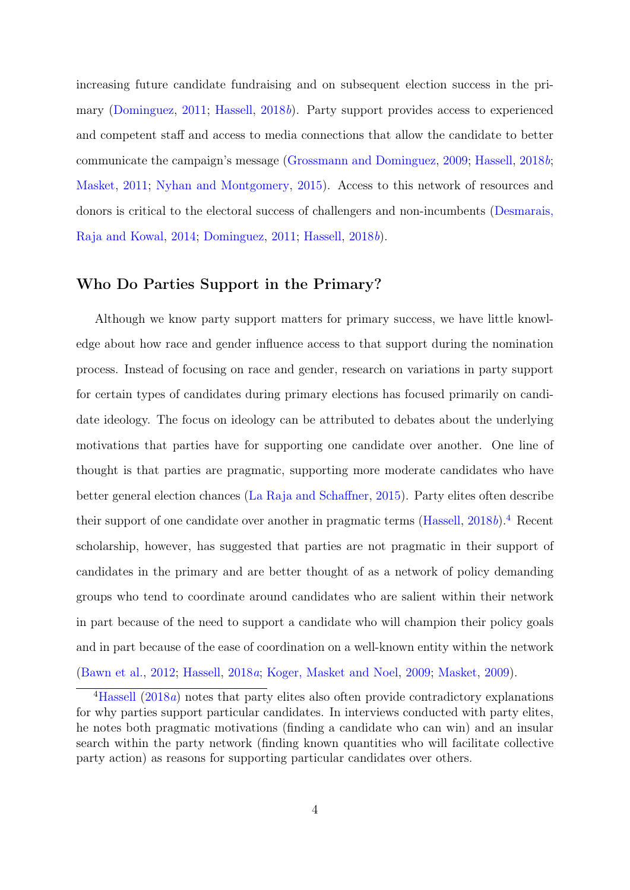increasing future candidate fundraising and on subsequent election success in the primary [\(Dominguez,](#page-28-0) [2011;](#page-28-0) [Hassell,](#page-29-2) [2018](#page-29-2)b). Party support provides access to experienced and competent staff and access to media connections that allow the candidate to better communicate the campaign's message [\(Grossmann and Dominguez,](#page-29-7) [2009;](#page-29-7) [Hassell,](#page-29-2) [2018](#page-29-2)b; [Masket,](#page-30-5) [2011;](#page-30-5) [Nyhan and Montgomery,](#page-30-9) [2015\)](#page-30-9). Access to this network of resources and donors is critical to the electoral success of challengers and non-incumbents [\(Desmarais,](#page-28-2) [Raja and Kowal,](#page-28-2) [2014;](#page-28-2) [Dominguez,](#page-28-0) [2011;](#page-28-0) [Hassell,](#page-29-2) [2018](#page-29-2)b).

#### Who Do Parties Support in the Primary?

Although we know party support matters for primary success, we have little knowledge about how race and gender influence access to that support during the nomination process. Instead of focusing on race and gender, research on variations in party support for certain types of candidates during primary elections has focused primarily on candidate ideology. The focus on ideology can be attributed to debates about the underlying motivations that parties have for supporting one candidate over another. One line of thought is that parties are pragmatic, supporting more moderate candidates who have better general election chances [\(La Raja and Schaffner,](#page-30-6) [2015\)](#page-30-6). Party elites often describe their support of one candidate over another in pragmatic terms [\(Hassell,](#page-29-2)  $2018b$  $2018b$ ).<sup>[4](#page-1-0)</sup> Recent scholarship, however, has suggested that parties are not pragmatic in their support of candidates in the primary and are better thought of as a network of policy demanding groups who tend to coordinate around candidates who are salient within their network in part because of the need to support a candidate who will champion their policy goals and in part because of the ease of coordination on a well-known entity within the network [\(Bawn et al.,](#page-27-1) [2012;](#page-27-1) [Hassell,](#page-29-8) [2018](#page-29-8)a; [Koger, Masket and Noel,](#page-30-1) [2009;](#page-30-1) [Masket,](#page-30-2) [2009\)](#page-30-2).

<sup>&</sup>lt;sup>4</sup>[Hassell](#page-29-8) [\(2018](#page-29-8)*a*) notes that party elites also often provide contradictory explanations for why parties support particular candidates. In interviews conducted with party elites, he notes both pragmatic motivations (finding a candidate who can win) and an insular search within the party network (finding known quantities who will facilitate collective party action) as reasons for supporting particular candidates over others.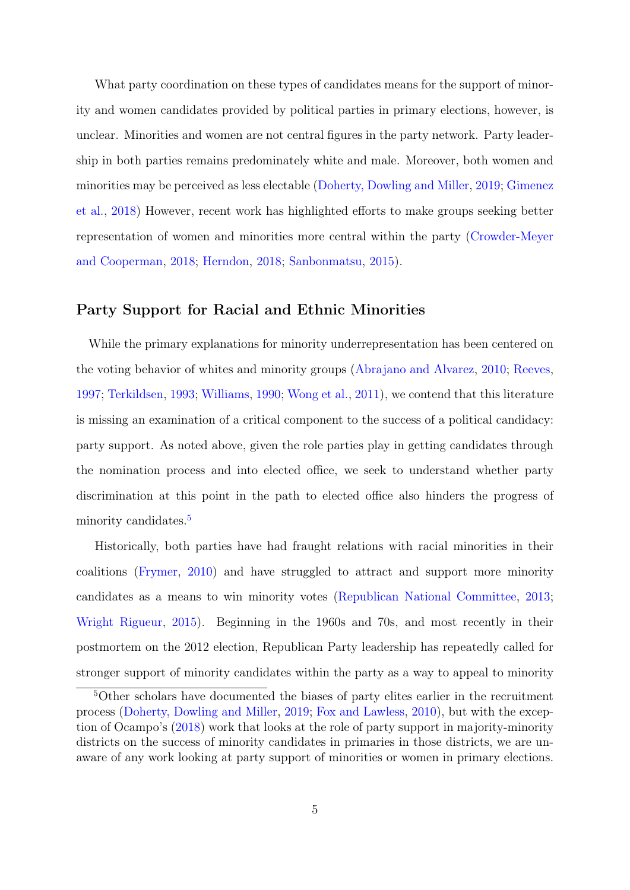What party coordination on these types of candidates means for the support of minority and women candidates provided by political parties in primary elections, however, is unclear. Minorities and women are not central figures in the party network. Party leadership in both parties remains predominately white and male. Moreover, both women and minorities may be perceived as less electable [\(Doherty, Dowling and Miller,](#page-28-3) [2019;](#page-28-3) [Gimenez](#page-28-4) [et al.,](#page-28-4) [2018\)](#page-28-4) However, recent work has highlighted efforts to make groups seeking better representation of women and minorities more central within the party [\(Crowder-Meyer](#page-27-3) [and Cooperman,](#page-27-3) [2018;](#page-27-3) [Herndon,](#page-29-0) [2018;](#page-29-0) [Sanbonmatsu,](#page-31-1) [2015\)](#page-31-1).

#### Party Support for Racial and Ethnic Minorities

While the primary explanations for minority underrepresentation has been centered on the voting behavior of whites and minority groups [\(Abrajano and Alvarez,](#page-27-4) [2010;](#page-27-4) [Reeves,](#page-31-2) [1997;](#page-31-2) [Terkildsen,](#page-31-3) [1993;](#page-31-3) [Williams,](#page-32-0) [1990;](#page-32-0) [Wong et al.,](#page-32-1) [2011\)](#page-32-1), we contend that this literature is missing an examination of a critical component to the success of a political candidacy: party support. As noted above, given the role parties play in getting candidates through the nomination process and into elected office, we seek to understand whether party discrimination at this point in the path to elected office also hinders the progress of minority candidates.<sup>[5](#page-1-0)</sup>

Historically, both parties have had fraught relations with racial minorities in their coalitions [\(Frymer,](#page-28-5) [2010\)](#page-28-5) and have struggled to attract and support more minority candidates as a means to win minority votes [\(Republican National Committee,](#page-31-4) [2013;](#page-31-4) [Wright Rigueur,](#page-32-2) [2015\)](#page-32-2). Beginning in the 1960s and 70s, and most recently in their postmortem on the 2012 election, Republican Party leadership has repeatedly called for stronger support of minority candidates within the party as a way to appeal to minority

<sup>5</sup>Other scholars have documented the biases of party elites earlier in the recruitment process [\(Doherty, Dowling and Miller,](#page-28-3) [2019;](#page-28-3) [Fox and Lawless,](#page-28-6) [2010\)](#page-28-6), but with the exception of Ocampo's [\(2018\)](#page-30-3) work that looks at the role of party support in majority-minority districts on the success of minority candidates in primaries in those districts, we are unaware of any work looking at party support of minorities or women in primary elections.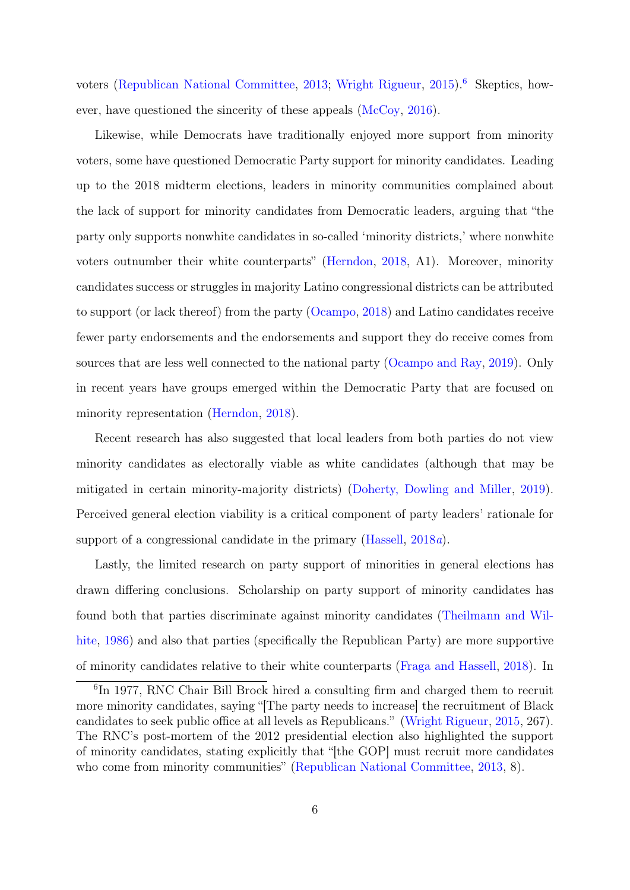voters [\(Republican National Committee,](#page-31-4) [2013;](#page-31-4) [Wright Rigueur,](#page-32-2) [2015\)](#page-32-2).<sup>[6](#page-1-0)</sup> Skeptics, however, have questioned the sincerity of these appeals [\(McCoy,](#page-30-10) [2016\)](#page-30-10).

Likewise, while Democrats have traditionally enjoyed more support from minority voters, some have questioned Democratic Party support for minority candidates. Leading up to the 2018 midterm elections, leaders in minority communities complained about the lack of support for minority candidates from Democratic leaders, arguing that "the party only supports nonwhite candidates in so-called 'minority districts,' where nonwhite voters outnumber their white counterparts" [\(Herndon,](#page-29-0) [2018,](#page-29-0) A1). Moreover, minority candidates success or struggles in majority Latino congressional districts can be attributed to support (or lack thereof) from the party [\(Ocampo,](#page-30-3) [2018\)](#page-30-3) and Latino candidates receive fewer party endorsements and the endorsements and support they do receive comes from sources that are less well connected to the national party [\(Ocampo and Ray,](#page-31-5) [2019\)](#page-31-5). Only in recent years have groups emerged within the Democratic Party that are focused on minority representation [\(Herndon,](#page-29-0) [2018\)](#page-29-0).

Recent research has also suggested that local leaders from both parties do not view minority candidates as electorally viable as white candidates (although that may be mitigated in certain minority-majority districts) [\(Doherty, Dowling and Miller,](#page-28-3) [2019\)](#page-28-3). Perceived general election viability is a critical component of party leaders' rationale for support of a congressional candidate in the primary [\(Hassell,](#page-29-8) [2018](#page-29-8)a).

Lastly, the limited research on party support of minorities in general elections has drawn differing conclusions. Scholarship on party support of minority candidates has found both that parties discriminate against minority candidates [\(Theilmann and Wil](#page-31-0)[hite,](#page-31-0) [1986\)](#page-31-0) and also that parties (specifically the Republican Party) are more supportive of minority candidates relative to their white counterparts [\(Fraga and Hassell,](#page-28-1) [2018\)](#page-28-1). In

<sup>&</sup>lt;sup>6</sup>In 1977, RNC Chair Bill Brock hired a consulting firm and charged them to recruit more minority candidates, saying "[The party needs to increase] the recruitment of Black candidates to seek public office at all levels as Republicans." [\(Wright Rigueur,](#page-32-2) [2015,](#page-32-2) 267). The RNC's post-mortem of the 2012 presidential election also highlighted the support of minority candidates, stating explicitly that "[the GOP] must recruit more candidates who come from minority communities" [\(Republican National Committee,](#page-31-4) [2013,](#page-31-4) 8).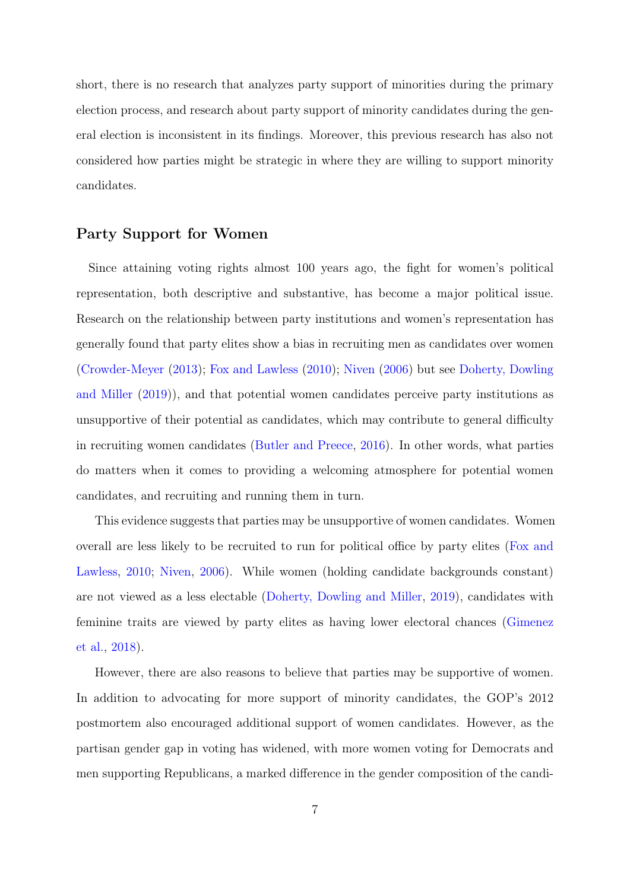short, there is no research that analyzes party support of minorities during the primary election process, and research about party support of minority candidates during the general election is inconsistent in its findings. Moreover, this previous research has also not considered how parties might be strategic in where they are willing to support minority candidates.

#### Party Support for Women

Since attaining voting rights almost 100 years ago, the fight for women's political representation, both descriptive and substantive, has become a major political issue. Research on the relationship between party institutions and women's representation has generally found that party elites show a bias in recruiting men as candidates over women [\(Crowder-Meyer](#page-27-5) [\(2013\)](#page-27-5); [Fox and Lawless](#page-28-6) [\(2010\)](#page-28-6); [Niven](#page-30-11) [\(2006\)](#page-30-11) but see [Doherty, Dowling](#page-28-3) [and Miller](#page-28-3) [\(2019\)](#page-28-3)), and that potential women candidates perceive party institutions as unsupportive of their potential as candidates, which may contribute to general difficulty in recruiting women candidates [\(Butler and Preece,](#page-27-6) [2016\)](#page-27-6). In other words, what parties do matters when it comes to providing a welcoming atmosphere for potential women candidates, and recruiting and running them in turn.

This evidence suggests that parties may be unsupportive of women candidates. Women overall are less likely to be recruited to run for political office by party elites [\(Fox and](#page-28-6) [Lawless,](#page-28-6) [2010;](#page-28-6) [Niven,](#page-30-11) [2006\)](#page-30-11). While women (holding candidate backgrounds constant) are not viewed as a less electable [\(Doherty, Dowling and Miller,](#page-28-3) [2019\)](#page-28-3), candidates with feminine traits are viewed by party elites as having lower electoral chances [\(Gimenez](#page-28-4) [et al.,](#page-28-4) [2018\)](#page-28-4).

However, there are also reasons to believe that parties may be supportive of women. In addition to advocating for more support of minority candidates, the GOP's 2012 postmortem also encouraged additional support of women candidates. However, as the partisan gender gap in voting has widened, with more women voting for Democrats and men supporting Republicans, a marked difference in the gender composition of the candi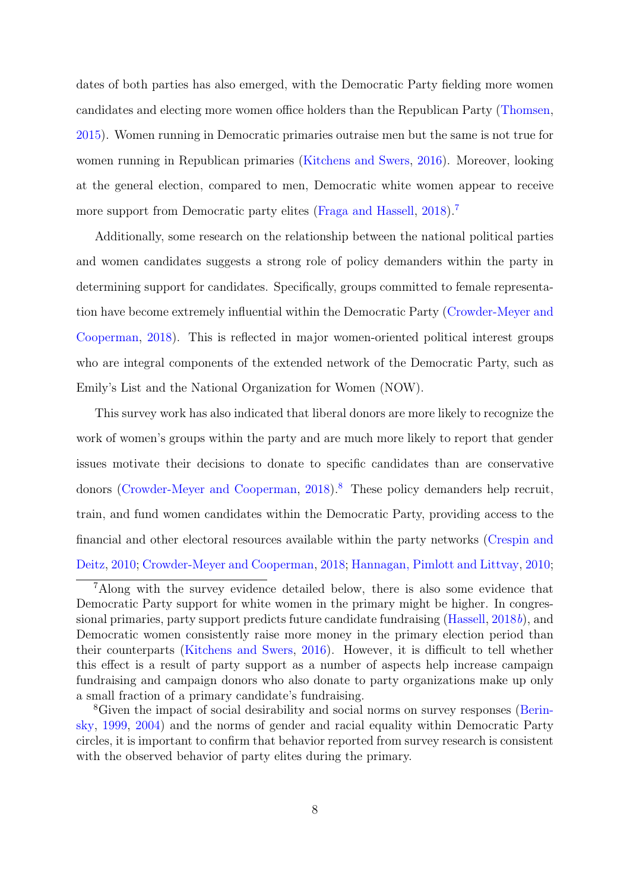dates of both parties has also emerged, with the Democratic Party fielding more women candidates and electing more women office holders than the Republican Party [\(Thomsen,](#page-32-3) [2015\)](#page-32-3). Women running in Democratic primaries outraise men but the same is not true for women running in Republican primaries [\(Kitchens and Swers,](#page-30-12) [2016\)](#page-30-12). Moreover, looking at the general election, compared to men, Democratic white women appear to receive more support from Democratic party elites [\(Fraga and Hassell,](#page-28-1) [2018\)](#page-28-1).<sup>[7](#page-1-0)</sup>

Additionally, some research on the relationship between the national political parties and women candidates suggests a strong role of policy demanders within the party in determining support for candidates. Specifically, groups committed to female representation have become extremely influential within the Democratic Party [\(Crowder-Meyer and](#page-27-3) [Cooperman,](#page-27-3) [2018\)](#page-27-3). This is reflected in major women-oriented political interest groups who are integral components of the extended network of the Democratic Party, such as Emily's List and the National Organization for Women (NOW).

This survey work has also indicated that liberal donors are more likely to recognize the work of women's groups within the party and are much more likely to report that gender issues motivate their decisions to donate to specific candidates than are conservative donors [\(Crowder-Meyer and Cooperman,](#page-27-3) [2018\)](#page-27-3).<sup>[8](#page-1-0)</sup> These policy demanders help recruit, train, and fund women candidates within the Democratic Party, providing access to the financial and other electoral resources available within the party networks [\(Crespin and](#page-27-7) [Deitz,](#page-27-7) [2010;](#page-27-7) [Crowder-Meyer and Cooperman,](#page-27-3) [2018;](#page-27-3) [Hannagan, Pimlott and Littvay,](#page-29-9) [2010;](#page-29-9)

<sup>7</sup>Along with the survey evidence detailed below, there is also some evidence that Democratic Party support for white women in the primary might be higher. In congressional primaries, party support predicts future candidate fundraising [\(Hassell,](#page-29-2) [2018](#page-29-2)b), and Democratic women consistently raise more money in the primary election period than their counterparts [\(Kitchens and Swers,](#page-30-12) [2016\)](#page-30-12). However, it is difficult to tell whether this effect is a result of party support as a number of aspects help increase campaign fundraising and campaign donors who also donate to party organizations make up only a small fraction of a primary candidate's fundraising.

<sup>&</sup>lt;sup>8</sup>Given the impact of social desirability and social norms on survey responses [\(Berin](#page-27-8)[sky,](#page-27-8) [1999,](#page-27-8) [2004\)](#page-27-9) and the norms of gender and racial equality within Democratic Party circles, it is important to confirm that behavior reported from survey research is consistent with the observed behavior of party elites during the primary.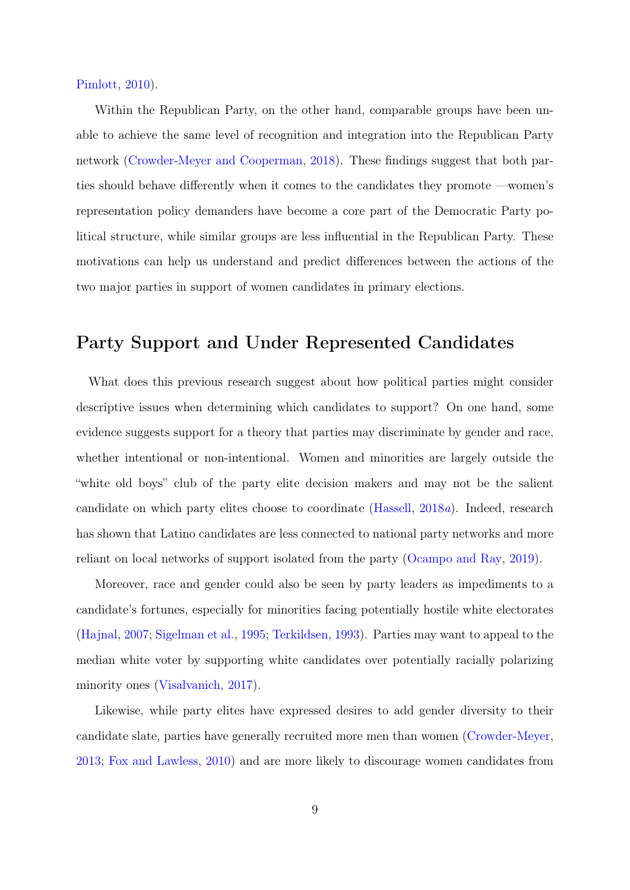#### [Pimlott,](#page-31-6) [2010\)](#page-31-6).

Within the Republican Party, on the other hand, comparable groups have been unable to achieve the same level of recognition and integration into the Republican Party network [\(Crowder-Meyer and Cooperman,](#page-27-3) [2018\)](#page-27-3). These findings suggest that both parties should behave differently when it comes to the candidates they promote —women's representation policy demanders have become a core part of the Democratic Party political structure, while similar groups are less influential in the Republican Party. These motivations can help us understand and predict differences between the actions of the two major parties in support of women candidates in primary elections.

## Party Support and Under Represented Candidates

What does this previous research suggest about how political parties might consider descriptive issues when determining which candidates to support? On one hand, some evidence suggests support for a theory that parties may discriminate by gender and race, whether intentional or non-intentional. Women and minorities are largely outside the "white old boys" club of the party elite decision makers and may not be the salient candidate on which party elites choose to coordinate [\(Hassell,](#page-29-8) [2018](#page-29-8)a). Indeed, research has shown that Latino candidates are less connected to national party networks and more reliant on local networks of support isolated from the party [\(Ocampo and Ray,](#page-31-5) [2019\)](#page-31-5).

Moreover, race and gender could also be seen by party leaders as impediments to a candidate's fortunes, especially for minorities facing potentially hostile white electorates [\(Hajnal,](#page-29-10) [2007;](#page-29-10) [Sigelman et al.,](#page-31-7) [1995;](#page-31-7) [Terkildsen,](#page-31-3) [1993\)](#page-31-3). Parties may want to appeal to the median white voter by supporting white candidates over potentially racially polarizing minority ones [\(Visalvanich,](#page-32-4) [2017\)](#page-32-4).

Likewise, while party elites have expressed desires to add gender diversity to their candidate slate, parties have generally recruited more men than women [\(Crowder-Meyer,](#page-27-5) [2013;](#page-27-5) [Fox and Lawless,](#page-28-6) [2010\)](#page-28-6) and are more likely to discourage women candidates from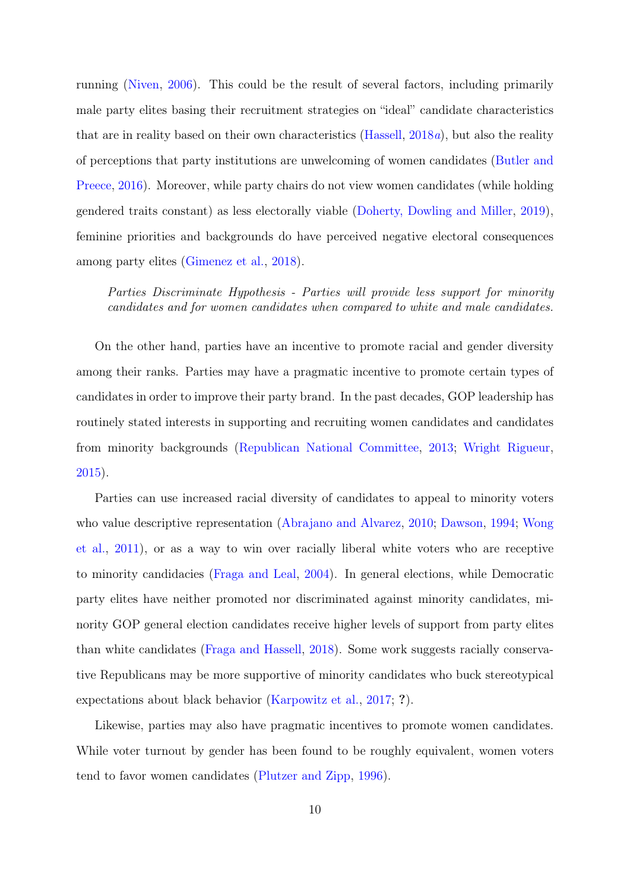running [\(Niven,](#page-30-11) [2006\)](#page-30-11). This could be the result of several factors, including primarily male party elites basing their recruitment strategies on "ideal" candidate characteristics that are in reality based on their own characteristics [\(Hassell,](#page-29-8)  $2018a$  $2018a$ ), but also the reality of perceptions that party institutions are unwelcoming of women candidates [\(Butler and](#page-27-6) [Preece,](#page-27-6) [2016\)](#page-27-6). Moreover, while party chairs do not view women candidates (while holding gendered traits constant) as less electorally viable [\(Doherty, Dowling and Miller,](#page-28-3) [2019\)](#page-28-3), feminine priorities and backgrounds do have perceived negative electoral consequences among party elites [\(Gimenez et al.,](#page-28-4) [2018\)](#page-28-4).

Parties Discriminate Hypothesis - Parties will provide less support for minority candidates and for women candidates when compared to white and male candidates.

On the other hand, parties have an incentive to promote racial and gender diversity among their ranks. Parties may have a pragmatic incentive to promote certain types of candidates in order to improve their party brand. In the past decades, GOP leadership has routinely stated interests in supporting and recruiting women candidates and candidates from minority backgrounds [\(Republican National Committee,](#page-31-4) [2013;](#page-31-4) [Wright Rigueur,](#page-32-2) [2015\)](#page-32-2).

Parties can use increased racial diversity of candidates to appeal to minority voters who value descriptive representation [\(Abrajano and Alvarez,](#page-27-4) [2010;](#page-27-4) [Dawson,](#page-28-7) [1994;](#page-28-7) [Wong](#page-32-1) [et al.,](#page-32-1) [2011\)](#page-32-1), or as a way to win over racially liberal white voters who are receptive to minority candidacies [\(Fraga and Leal,](#page-28-8) [2004\)](#page-28-8). In general elections, while Democratic party elites have neither promoted nor discriminated against minority candidates, minority GOP general election candidates receive higher levels of support from party elites than white candidates [\(Fraga and Hassell,](#page-28-1) [2018\)](#page-28-1). Some work suggests racially conservative Republicans may be more supportive of minority candidates who buck stereotypical expectations about black behavior [\(Karpowitz et al.,](#page-29-11) [2017;](#page-29-11) ?).

Likewise, parties may also have pragmatic incentives to promote women candidates. While voter turnout by gender has been found to be roughly equivalent, women voters tend to favor women candidates [\(Plutzer and Zipp,](#page-31-8) [1996\)](#page-31-8).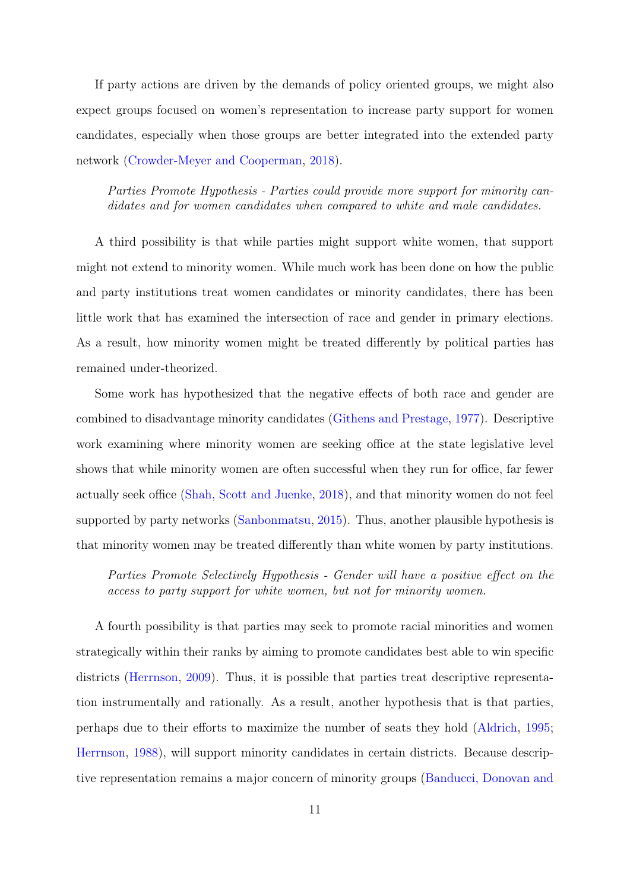If party actions are driven by the demands of policy oriented groups, we might also expect groups focused on women's representation to increase party support for women candidates, especially when those groups are better integrated into the extended party network [\(Crowder-Meyer and Cooperman,](#page-27-3) [2018\)](#page-27-3).

Parties Promote Hypothesis - Parties could provide more support for minority candidates and for women candidates when compared to white and male candidates.

A third possibility is that while parties might support white women, that support might not extend to minority women. While much work has been done on how the public and party institutions treat women candidates or minority candidates, there has been little work that has examined the intersection of race and gender in primary elections. As a result, how minority women might be treated differently by political parties has remained under-theorized.

Some work has hypothesized that the negative effects of both race and gender are combined to disadvantage minority candidates [\(Githens and Prestage,](#page-28-9) [1977\)](#page-28-9). Descriptive work examining where minority women are seeking office at the state legislative level shows that while minority women are often successful when they run for office, far fewer actually seek office [\(Shah, Scott and Juenke,](#page-31-9) [2018\)](#page-31-9), and that minority women do not feel supported by party networks [\(Sanbonmatsu,](#page-31-1) [2015\)](#page-31-1). Thus, another plausible hypothesis is that minority women may be treated differently than white women by party institutions.

Parties Promote Selectively Hypothesis - Gender will have a positive effect on the access to party support for white women, but not for minority women.

A fourth possibility is that parties may seek to promote racial minorities and women strategically within their ranks by aiming to promote candidates best able to win specific districts [\(Herrnson,](#page-29-5) [2009\)](#page-29-5). Thus, it is possible that parties treat descriptive representation instrumentally and rationally. As a result, another hypothesis that is that parties, perhaps due to their efforts to maximize the number of seats they hold [\(Aldrich,](#page-27-10) [1995;](#page-27-10) [Herrnson,](#page-29-6) [1988\)](#page-29-6), will support minority candidates in certain districts. Because descriptive representation remains a major concern of minority groups [\(Banducci, Donovan and](#page-27-0)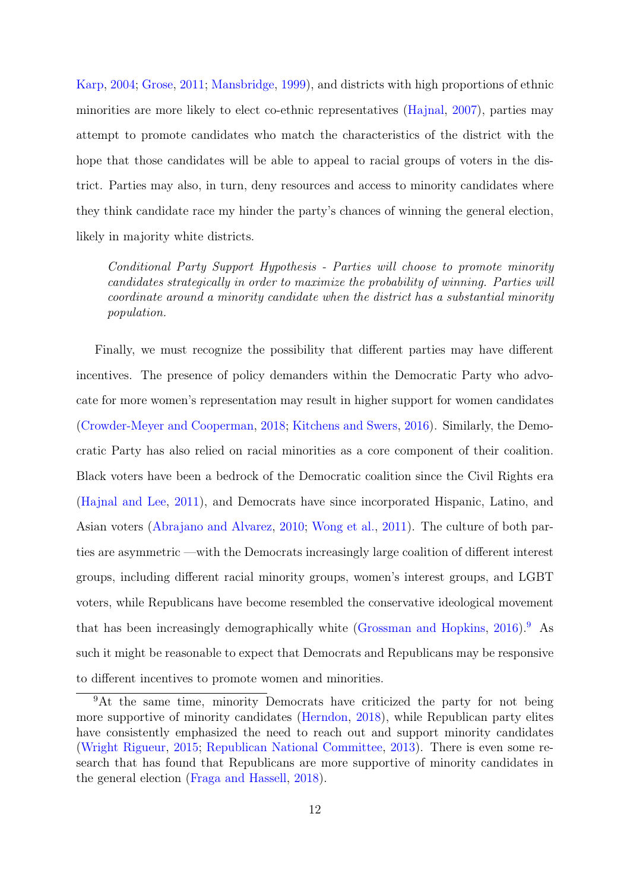[Karp,](#page-27-0) [2004;](#page-27-0) [Grose,](#page-29-1) [2011;](#page-29-1) [Mansbridge,](#page-30-0) [1999\)](#page-30-0), and districts with high proportions of ethnic minorities are more likely to elect co-ethnic representatives [\(Hajnal,](#page-29-10) [2007\)](#page-29-10), parties may attempt to promote candidates who match the characteristics of the district with the hope that those candidates will be able to appeal to racial groups of voters in the district. Parties may also, in turn, deny resources and access to minority candidates where they think candidate race my hinder the party's chances of winning the general election, likely in majority white districts.

Conditional Party Support Hypothesis - Parties will choose to promote minority candidates strategically in order to maximize the probability of winning. Parties will coordinate around a minority candidate when the district has a substantial minority population.

Finally, we must recognize the possibility that different parties may have different incentives. The presence of policy demanders within the Democratic Party who advocate for more women's representation may result in higher support for women candidates [\(Crowder-Meyer and Cooperman,](#page-27-3) [2018;](#page-27-3) [Kitchens and Swers,](#page-30-12) [2016\)](#page-30-12). Similarly, the Democratic Party has also relied on racial minorities as a core component of their coalition. Black voters have been a bedrock of the Democratic coalition since the Civil Rights era [\(Hajnal and Lee,](#page-29-12) [2011\)](#page-29-12), and Democrats have since incorporated Hispanic, Latino, and Asian voters [\(Abrajano and Alvarez,](#page-27-4) [2010;](#page-27-4) [Wong et al.,](#page-32-1) [2011\)](#page-32-1). The culture of both parties are asymmetric —with the Democrats increasingly large coalition of different interest groups, including different racial minority groups, women's interest groups, and LGBT voters, while Republicans have become resembled the conservative ideological movement that has been increasingly demographically white [\(Grossman and Hopkins,](#page-29-13)  $2016$ ).<sup>[9](#page-1-0)</sup> As such it might be reasonable to expect that Democrats and Republicans may be responsive to different incentives to promote women and minorities.

<sup>&</sup>lt;sup>9</sup>At the same time, minority Democrats have criticized the party for not being more supportive of minority candidates [\(Herndon,](#page-29-0) [2018\)](#page-29-0), while Republican party elites have consistently emphasized the need to reach out and support minority candidates [\(Wright Rigueur,](#page-32-2) [2015;](#page-32-2) [Republican National Committee,](#page-31-4) [2013\)](#page-31-4). There is even some research that has found that Republicans are more supportive of minority candidates in the general election [\(Fraga and Hassell,](#page-28-1) [2018\)](#page-28-1).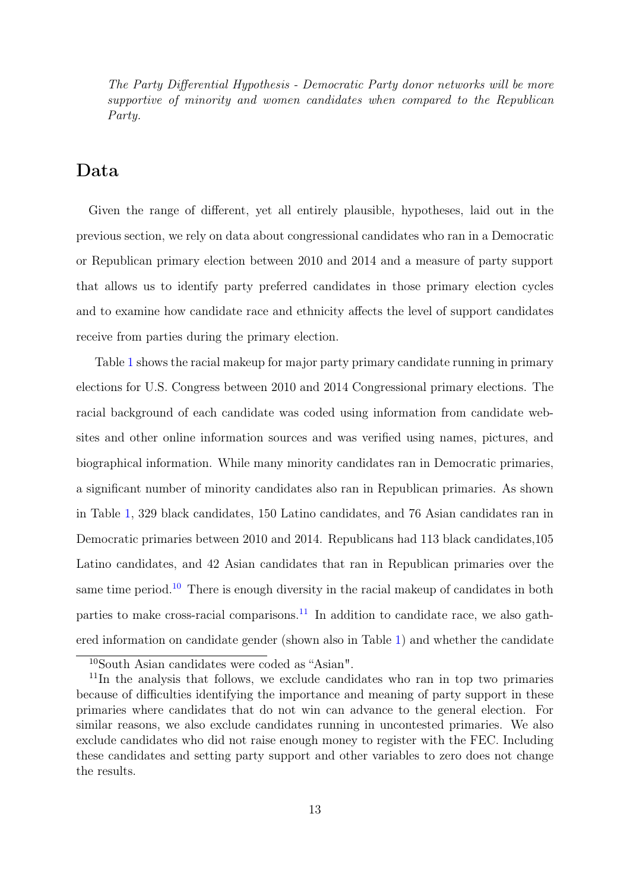The Party Differential Hypothesis - Democratic Party donor networks will be more supportive of minority and women candidates when compared to the Republican Party.

## Data

Given the range of different, yet all entirely plausible, hypotheses, laid out in the previous section, we rely on data about congressional candidates who ran in a Democratic or Republican primary election between 2010 and 2014 and a measure of party support that allows us to identify party preferred candidates in those primary election cycles and to examine how candidate race and ethnicity affects the level of support candidates receive from parties during the primary election.

Table [1](#page-33-0) shows the racial makeup for major party primary candidate running in primary elections for U.S. Congress between 2010 and 2014 Congressional primary elections. The racial background of each candidate was coded using information from candidate websites and other online information sources and was verified using names, pictures, and biographical information. While many minority candidates ran in Democratic primaries, a significant number of minority candidates also ran in Republican primaries. As shown in Table [1,](#page-33-0) 329 black candidates, 150 Latino candidates, and 76 Asian candidates ran in Democratic primaries between 2010 and 2014. Republicans had 113 black candidates,105 Latino candidates, and 42 Asian candidates that ran in Republican primaries over the same time period.<sup>[10](#page-1-0)</sup> There is enough diversity in the racial makeup of candidates in both parties to make cross-racial comparisons.<sup>[11](#page-1-0)</sup> In addition to candidate race, we also gathered information on candidate gender (shown also in Table [1\)](#page-33-0) and whether the candidate

<sup>10</sup>South Asian candidates were coded as "Asian".

<sup>11</sup>In the analysis that follows, we exclude candidates who ran in top two primaries because of difficulties identifying the importance and meaning of party support in these primaries where candidates that do not win can advance to the general election. For similar reasons, we also exclude candidates running in uncontested primaries. We also exclude candidates who did not raise enough money to register with the FEC. Including these candidates and setting party support and other variables to zero does not change the results.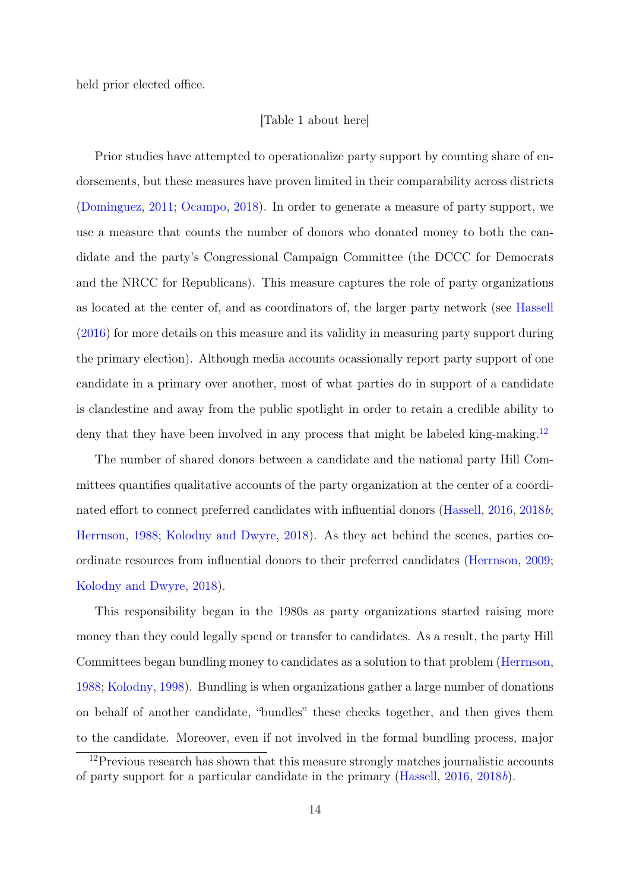held prior elected office.

#### [Table 1 about here]

Prior studies have attempted to operationalize party support by counting share of endorsements, but these measures have proven limited in their comparability across districts [\(Dominguez,](#page-28-0) [2011;](#page-28-0) [Ocampo,](#page-30-3) [2018\)](#page-30-3). In order to generate a measure of party support, we use a measure that counts the number of donors who donated money to both the candidate and the party's Congressional Campaign Committee (the DCCC for Democrats and the NRCC for Republicans). This measure captures the role of party organizations as located at the center of, and as coordinators of, the larger party network (see [Hassell](#page-29-3) [\(2016\)](#page-29-3) for more details on this measure and its validity in measuring party support during the primary election). Although media accounts ocassionally report party support of one candidate in a primary over another, most of what parties do in support of a candidate is clandestine and away from the public spotlight in order to retain a credible ability to deny that they have been involved in any process that might be labeled king-making.<sup>[12](#page-1-0)</sup>

The number of shared donors between a candidate and the national party Hill Committees quantifies qualitative accounts of the party organization at the center of a coordi-nated effort to connect preferred candidates with influential donors [\(Hassell,](#page-29-3) [2016,](#page-29-3) [2018](#page-29-2)b; [Herrnson,](#page-29-6) [1988;](#page-29-6) [Kolodny and Dwyre,](#page-30-4) [2018\)](#page-30-4). As they act behind the scenes, parties coordinate resources from influential donors to their preferred candidates [\(Herrnson,](#page-29-5) [2009;](#page-29-5) [Kolodny and Dwyre,](#page-30-4) [2018\)](#page-30-4).

This responsibility began in the 1980s as party organizations started raising more money than they could legally spend or transfer to candidates. As a result, the party Hill Committees began bundling money to candidates as a solution to that problem [\(Herrnson,](#page-29-6) [1988;](#page-29-6) [Kolodny,](#page-30-7) [1998\)](#page-30-7). Bundling is when organizations gather a large number of donations on behalf of another candidate, "bundles" these checks together, and then gives them to the candidate. Moreover, even if not involved in the formal bundling process, major

<sup>&</sup>lt;sup>12</sup>Previous research has shown that this measure strongly matches journalistic accounts of party support for a particular candidate in the primary [\(Hassell,](#page-29-3) [2016,](#page-29-3) [2018](#page-29-2)b).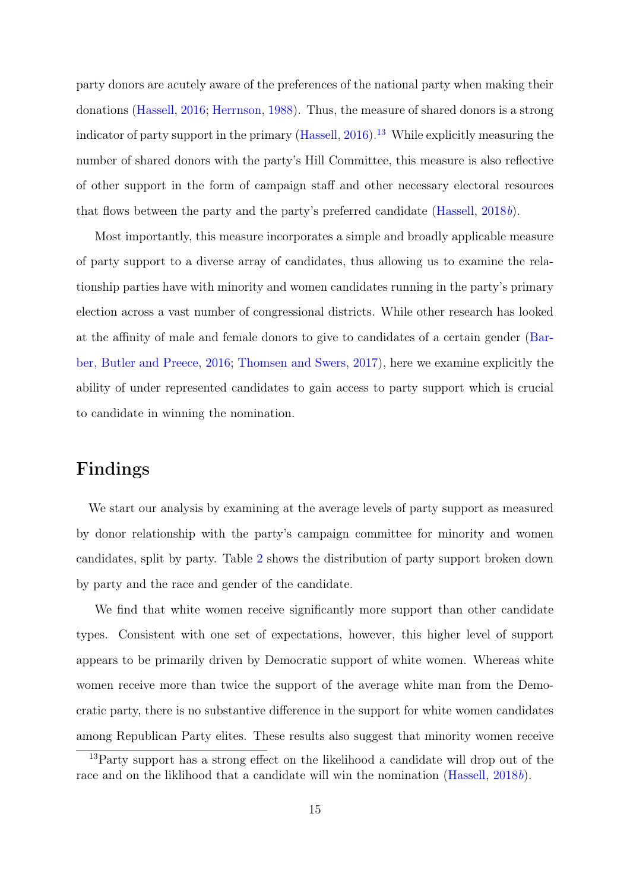party donors are acutely aware of the preferences of the national party when making their donations [\(Hassell,](#page-29-3) [2016;](#page-29-3) [Herrnson,](#page-29-6) [1988\)](#page-29-6). Thus, the measure of shared donors is a strong indicator of party support in the primary  $(Hassell, 2016)$  $(Hassell, 2016)$  $(Hassell, 2016)$ <sup>[13](#page-1-0)</sup> While explicitly measuring the number of shared donors with the party's Hill Committee, this measure is also reflective of other support in the form of campaign staff and other necessary electoral resources that flows between the party and the party's preferred candidate [\(Hassell,](#page-29-2) [2018](#page-29-2)b).

Most importantly, this measure incorporates a simple and broadly applicable measure of party support to a diverse array of candidates, thus allowing us to examine the relationship parties have with minority and women candidates running in the party's primary election across a vast number of congressional districts. While other research has looked at the affinity of male and female donors to give to candidates of a certain gender [\(Bar](#page-27-11)[ber, Butler and Preece,](#page-27-11) [2016;](#page-27-11) [Thomsen and Swers,](#page-32-5) [2017\)](#page-32-5), here we examine explicitly the ability of under represented candidates to gain access to party support which is crucial to candidate in winning the nomination.

## Findings

We start our analysis by examining at the average levels of party support as measured by donor relationship with the party's campaign committee for minority and women candidates, split by party. Table [2](#page-34-0) shows the distribution of party support broken down by party and the race and gender of the candidate.

We find that white women receive significantly more support than other candidate types. Consistent with one set of expectations, however, this higher level of support appears to be primarily driven by Democratic support of white women. Whereas white women receive more than twice the support of the average white man from the Democratic party, there is no substantive difference in the support for white women candidates among Republican Party elites. These results also suggest that minority women receive

<sup>&</sup>lt;sup>13</sup>Party support has a strong effect on the likelihood a candidate will drop out of the race and on the liklihood that a candidate will win the nomination [\(Hassell,](#page-29-2) [2018](#page-29-2)b).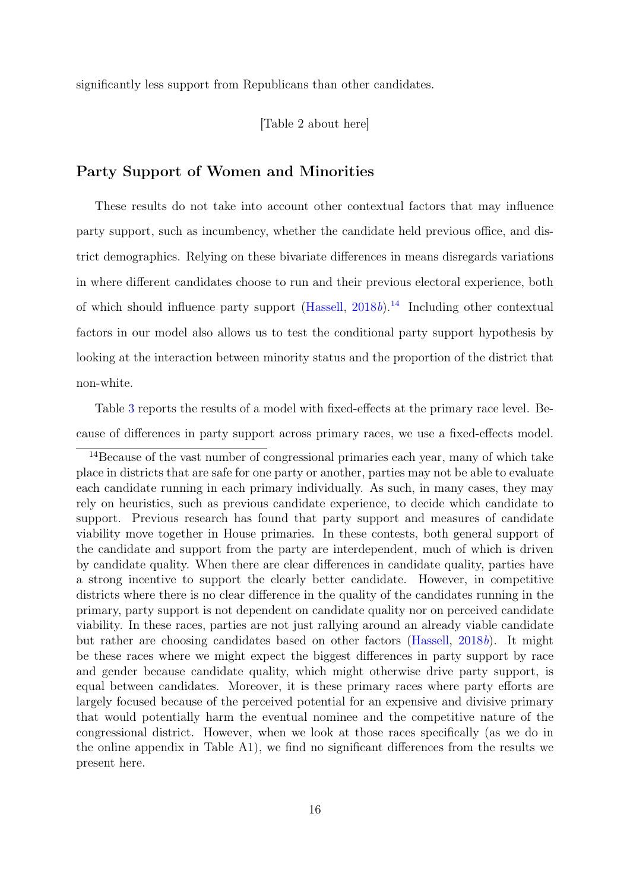significantly less support from Republicans than other candidates.

[Table 2 about here]

#### Party Support of Women and Minorities

These results do not take into account other contextual factors that may influence party support, such as incumbency, whether the candidate held previous office, and district demographics. Relying on these bivariate differences in means disregards variations in where different candidates choose to run and their previous electoral experience, both of which should influence party support  $(Hassell, 2018b)$  $(Hassell, 2018b)$  $(Hassell, 2018b)$  $(Hassell, 2018b)$ <sup>[14](#page-1-0)</sup> Including other contextual factors in our model also allows us to test the conditional party support hypothesis by looking at the interaction between minority status and the proportion of the district that non-white.

Table [3](#page-35-0) reports the results of a model with fixed-effects at the primary race level. Because of differences in party support across primary races, we use a fixed-effects model.

<sup>&</sup>lt;sup>14</sup>Because of the vast number of congressional primaries each year, many of which take place in districts that are safe for one party or another, parties may not be able to evaluate each candidate running in each primary individually. As such, in many cases, they may rely on heuristics, such as previous candidate experience, to decide which candidate to support. Previous research has found that party support and measures of candidate viability move together in House primaries. In these contests, both general support of the candidate and support from the party are interdependent, much of which is driven by candidate quality. When there are clear differences in candidate quality, parties have a strong incentive to support the clearly better candidate. However, in competitive districts where there is no clear difference in the quality of the candidates running in the primary, party support is not dependent on candidate quality nor on perceived candidate viability. In these races, parties are not just rallying around an already viable candidate but rather are choosing candidates based on other factors [\(Hassell,](#page-29-2) [2018](#page-29-2)b). It might be these races where we might expect the biggest differences in party support by race and gender because candidate quality, which might otherwise drive party support, is equal between candidates. Moreover, it is these primary races where party efforts are largely focused because of the perceived potential for an expensive and divisive primary that would potentially harm the eventual nominee and the competitive nature of the congressional district. However, when we look at those races specifically (as we do in the online appendix in Table A1), we find no significant differences from the results we present here.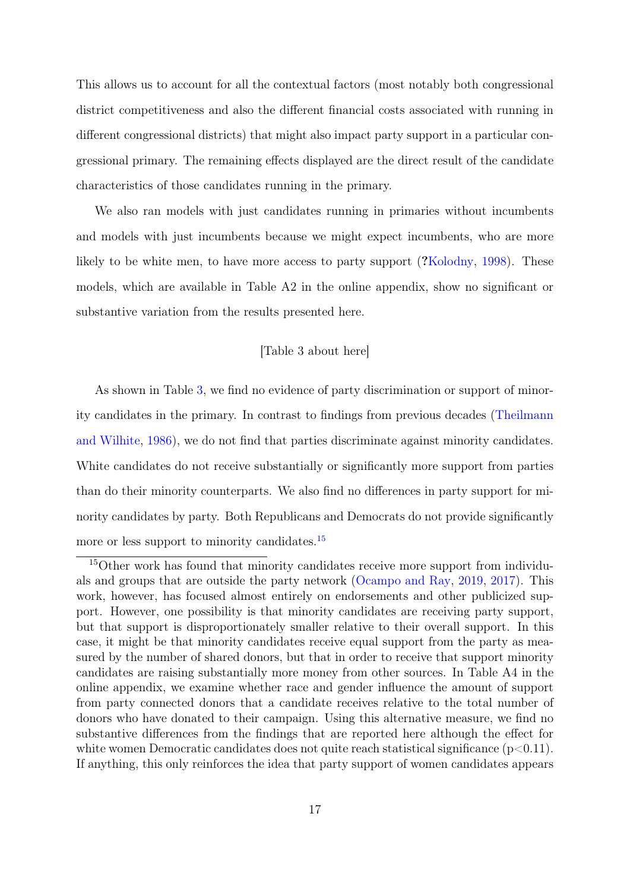This allows us to account for all the contextual factors (most notably both congressional district competitiveness and also the different financial costs associated with running in different congressional districts) that might also impact party support in a particular congressional primary. The remaining effects displayed are the direct result of the candidate characteristics of those candidates running in the primary.

We also ran models with just candidates running in primaries without incumbents and models with just incumbents because we might expect incumbents, who are more likely to be white men, to have more access to party support (?[Kolodny,](#page-30-7) [1998\)](#page-30-7). These models, which are available in Table A2 in the online appendix, show no significant or substantive variation from the results presented here.

#### [Table 3 about here]

As shown in Table [3,](#page-35-0) we find no evidence of party discrimination or support of minority candidates in the primary. In contrast to findings from previous decades [\(Theilmann](#page-31-0) [and Wilhite,](#page-31-0) [1986\)](#page-31-0), we do not find that parties discriminate against minority candidates. White candidates do not receive substantially or significantly more support from parties than do their minority counterparts. We also find no differences in party support for minority candidates by party. Both Republicans and Democrats do not provide significantly more or less support to minority candidates.<sup>[15](#page-1-0)</sup>

<sup>15</sup>Other work has found that minority candidates receive more support from individuals and groups that are outside the party network [\(Ocampo and Ray,](#page-31-5) [2019,](#page-31-5) [2017\)](#page-31-10). This work, however, has focused almost entirely on endorsements and other publicized support. However, one possibility is that minority candidates are receiving party support, but that support is disproportionately smaller relative to their overall support. In this case, it might be that minority candidates receive equal support from the party as measured by the number of shared donors, but that in order to receive that support minority candidates are raising substantially more money from other sources. In Table A4 in the online appendix, we examine whether race and gender influence the amount of support from party connected donors that a candidate receives relative to the total number of donors who have donated to their campaign. Using this alternative measure, we find no substantive differences from the findings that are reported here although the effect for white women Democratic candidates does not quite reach statistical significance  $(p<0.11)$ . If anything, this only reinforces the idea that party support of women candidates appears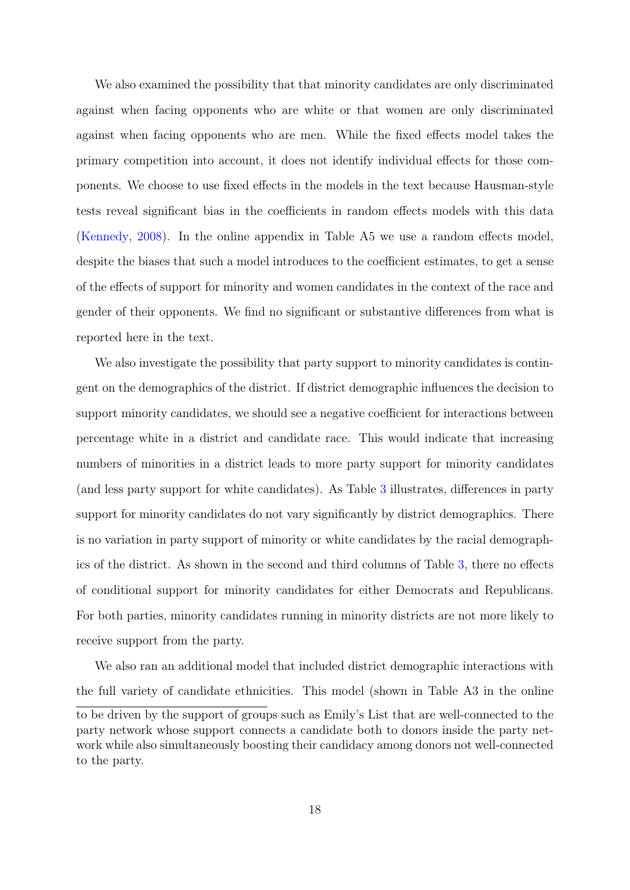We also examined the possibility that that minority candidates are only discriminated against when facing opponents who are white or that women are only discriminated against when facing opponents who are men. While the fixed effects model takes the primary competition into account, it does not identify individual effects for those components. We choose to use fixed effects in the models in the text because Hausman-style tests reveal significant bias in the coefficients in random effects models with this data [\(Kennedy,](#page-29-14) [2008\)](#page-29-14). In the online appendix in Table A5 we use a random effects model, despite the biases that such a model introduces to the coefficient estimates, to get a sense of the effects of support for minority and women candidates in the context of the race and gender of their opponents. We find no significant or substantive differences from what is reported here in the text.

We also investigate the possibility that party support to minority candidates is contingent on the demographics of the district. If district demographic influences the decision to support minority candidates, we should see a negative coefficient for interactions between percentage white in a district and candidate race. This would indicate that increasing numbers of minorities in a district leads to more party support for minority candidates (and less party support for white candidates). As Table [3](#page-35-0) illustrates, differences in party support for minority candidates do not vary significantly by district demographics. There is no variation in party support of minority or white candidates by the racial demographics of the district. As shown in the second and third columns of Table [3,](#page-35-0) there no effects of conditional support for minority candidates for either Democrats and Republicans. For both parties, minority candidates running in minority districts are not more likely to receive support from the party.

We also ran an additional model that included district demographic interactions with the full variety of candidate ethnicities. This model (shown in Table A3 in the online to be driven by the support of groups such as Emily's List that are well-connected to the party network whose support connects a candidate both to donors inside the party network while also simultaneously boosting their candidacy among donors not well-connected to the party.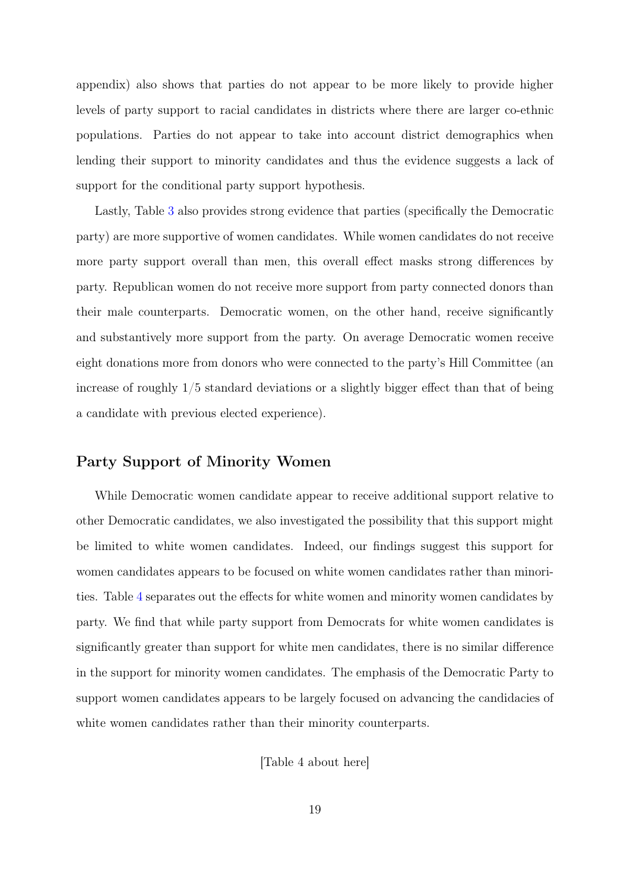appendix) also shows that parties do not appear to be more likely to provide higher levels of party support to racial candidates in districts where there are larger co-ethnic populations. Parties do not appear to take into account district demographics when lending their support to minority candidates and thus the evidence suggests a lack of support for the conditional party support hypothesis.

Lastly, Table [3](#page-35-0) also provides strong evidence that parties (specifically the Democratic party) are more supportive of women candidates. While women candidates do not receive more party support overall than men, this overall effect masks strong differences by party. Republican women do not receive more support from party connected donors than their male counterparts. Democratic women, on the other hand, receive significantly and substantively more support from the party. On average Democratic women receive eight donations more from donors who were connected to the party's Hill Committee (an increase of roughly 1/5 standard deviations or a slightly bigger effect than that of being a candidate with previous elected experience).

#### Party Support of Minority Women

While Democratic women candidate appear to receive additional support relative to other Democratic candidates, we also investigated the possibility that this support might be limited to white women candidates. Indeed, our findings suggest this support for women candidates appears to be focused on white women candidates rather than minorities. Table [4](#page-36-0) separates out the effects for white women and minority women candidates by party. We find that while party support from Democrats for white women candidates is significantly greater than support for white men candidates, there is no similar difference in the support for minority women candidates. The emphasis of the Democratic Party to support women candidates appears to be largely focused on advancing the candidacies of white women candidates rather than their minority counterparts.

[Table 4 about here]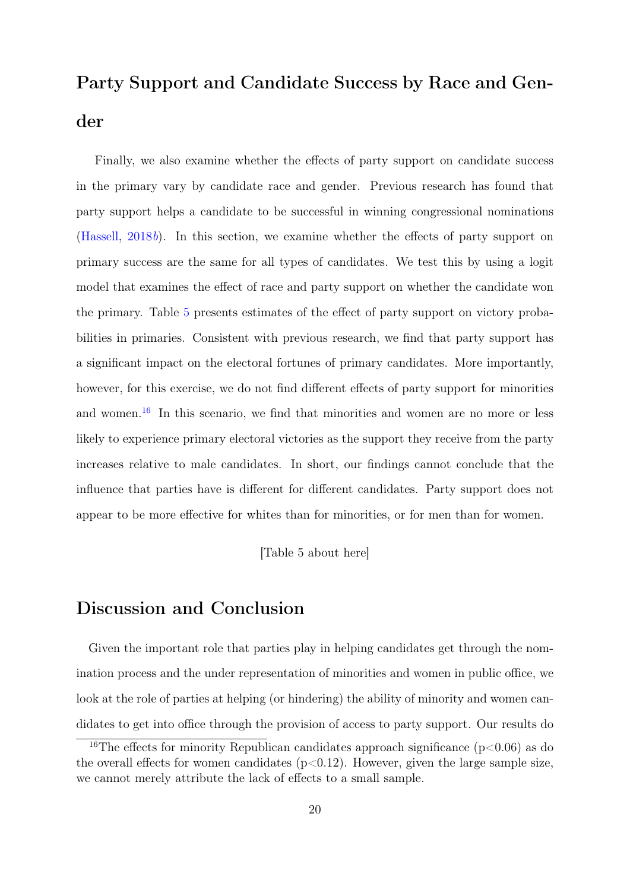# Party Support and Candidate Success by Race and Gender

Finally, we also examine whether the effects of party support on candidate success in the primary vary by candidate race and gender. Previous research has found that party support helps a candidate to be successful in winning congressional nominations [\(Hassell,](#page-29-2) [2018](#page-29-2)b). In this section, we examine whether the effects of party support on primary success are the same for all types of candidates. We test this by using a logit model that examines the effect of race and party support on whether the candidate won the primary. Table [5](#page-37-0) presents estimates of the effect of party support on victory probabilities in primaries. Consistent with previous research, we find that party support has a significant impact on the electoral fortunes of primary candidates. More importantly, however, for this exercise, we do not find different effects of party support for minorities and women.[16](#page-1-0) In this scenario, we find that minorities and women are no more or less likely to experience primary electoral victories as the support they receive from the party increases relative to male candidates. In short, our findings cannot conclude that the influence that parties have is different for different candidates. Party support does not appear to be more effective for whites than for minorities, or for men than for women.

[Table 5 about here]

## Discussion and Conclusion

Given the important role that parties play in helping candidates get through the nomination process and the under representation of minorities and women in public office, we look at the role of parties at helping (or hindering) the ability of minority and women candidates to get into office through the provision of access to party support. Our results do

<sup>&</sup>lt;sup>16</sup>The effects for minority Republican candidates approach significance ( $p$ <0.06) as do the overall effects for women candidates  $(p<0.12)$ . However, given the large sample size, we cannot merely attribute the lack of effects to a small sample.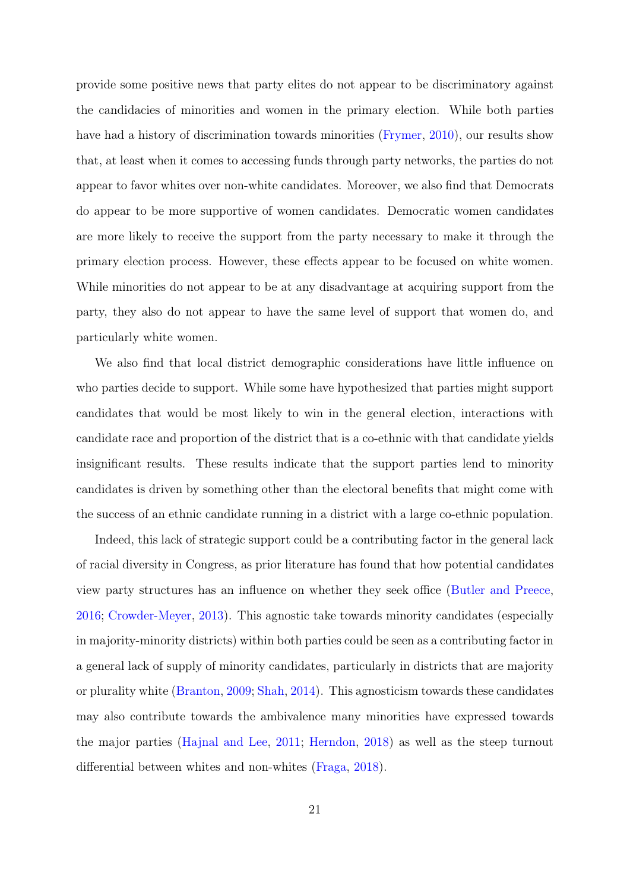provide some positive news that party elites do not appear to be discriminatory against the candidacies of minorities and women in the primary election. While both parties have had a history of discrimination towards minorities [\(Frymer,](#page-28-5) [2010\)](#page-28-5), our results show that, at least when it comes to accessing funds through party networks, the parties do not appear to favor whites over non-white candidates. Moreover, we also find that Democrats do appear to be more supportive of women candidates. Democratic women candidates are more likely to receive the support from the party necessary to make it through the primary election process. However, these effects appear to be focused on white women. While minorities do not appear to be at any disadvantage at acquiring support from the party, they also do not appear to have the same level of support that women do, and particularly white women.

We also find that local district demographic considerations have little influence on who parties decide to support. While some have hypothesized that parties might support candidates that would be most likely to win in the general election, interactions with candidate race and proportion of the district that is a co-ethnic with that candidate yields insignificant results. These results indicate that the support parties lend to minority candidates is driven by something other than the electoral benefits that might come with the success of an ethnic candidate running in a district with a large co-ethnic population.

Indeed, this lack of strategic support could be a contributing factor in the general lack of racial diversity in Congress, as prior literature has found that how potential candidates view party structures has an influence on whether they seek office [\(Butler and Preece,](#page-27-6) [2016;](#page-27-6) [Crowder-Meyer,](#page-27-5) [2013\)](#page-27-5). This agnostic take towards minority candidates (especially in majority-minority districts) within both parties could be seen as a contributing factor in a general lack of supply of minority candidates, particularly in districts that are majority or plurality white [\(Branton,](#page-27-12) [2009;](#page-27-12) [Shah,](#page-31-11) [2014\)](#page-31-11). This agnosticism towards these candidates may also contribute towards the ambivalence many minorities have expressed towards the major parties [\(Hajnal and Lee,](#page-29-12) [2011;](#page-29-12) [Herndon,](#page-29-0) [2018\)](#page-29-0) as well as the steep turnout differential between whites and non-whites [\(Fraga,](#page-28-10) [2018\)](#page-28-10).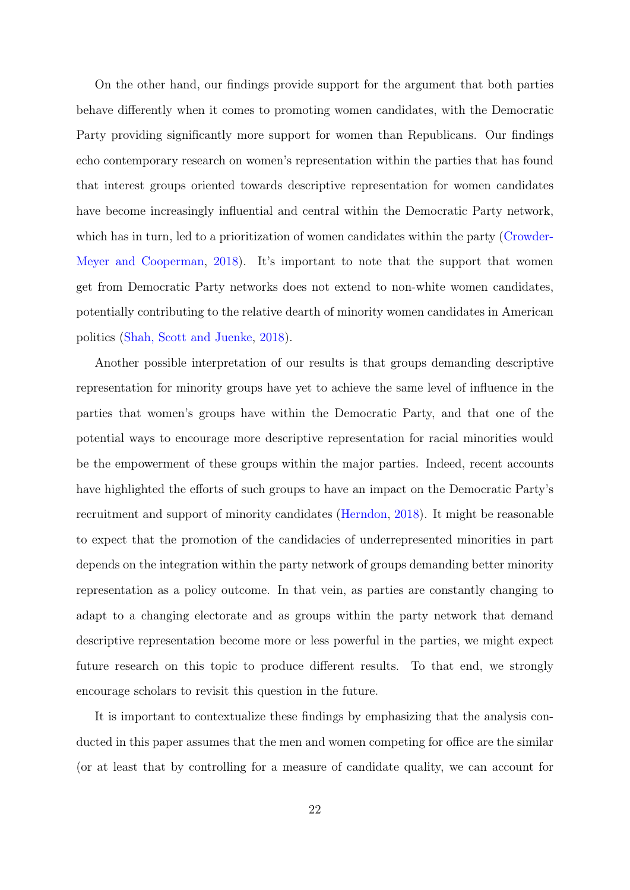On the other hand, our findings provide support for the argument that both parties behave differently when it comes to promoting women candidates, with the Democratic Party providing significantly more support for women than Republicans. Our findings echo contemporary research on women's representation within the parties that has found that interest groups oriented towards descriptive representation for women candidates have become increasingly influential and central within the Democratic Party network, which has in turn, led to a prioritization of women candidates within the party [\(Crowder-](#page-27-3)[Meyer and Cooperman,](#page-27-3) [2018\)](#page-27-3). It's important to note that the support that women get from Democratic Party networks does not extend to non-white women candidates, potentially contributing to the relative dearth of minority women candidates in American politics [\(Shah, Scott and Juenke,](#page-31-9) [2018\)](#page-31-9).

Another possible interpretation of our results is that groups demanding descriptive representation for minority groups have yet to achieve the same level of influence in the parties that women's groups have within the Democratic Party, and that one of the potential ways to encourage more descriptive representation for racial minorities would be the empowerment of these groups within the major parties. Indeed, recent accounts have highlighted the efforts of such groups to have an impact on the Democratic Party's recruitment and support of minority candidates [\(Herndon,](#page-29-0) [2018\)](#page-29-0). It might be reasonable to expect that the promotion of the candidacies of underrepresented minorities in part depends on the integration within the party network of groups demanding better minority representation as a policy outcome. In that vein, as parties are constantly changing to adapt to a changing electorate and as groups within the party network that demand descriptive representation become more or less powerful in the parties, we might expect future research on this topic to produce different results. To that end, we strongly encourage scholars to revisit this question in the future.

It is important to contextualize these findings by emphasizing that the analysis conducted in this paper assumes that the men and women competing for office are the similar (or at least that by controlling for a measure of candidate quality, we can account for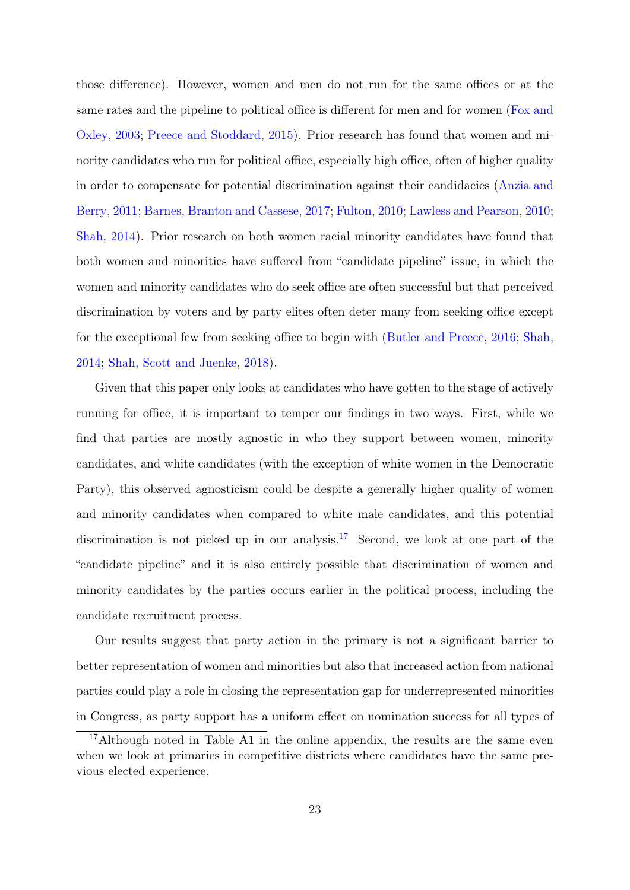those difference). However, women and men do not run for the same offices or at the same rates and the pipeline to political office is different for men and for women [\(Fox and](#page-28-11) [Oxley,](#page-28-11) [2003;](#page-28-11) [Preece and Stoddard,](#page-31-12) [2015\)](#page-31-12). Prior research has found that women and minority candidates who run for political office, especially high office, often of higher quality in order to compensate for potential discrimination against their candidacies [\(Anzia and](#page-27-13) [Berry,](#page-27-13) [2011;](#page-27-13) [Barnes, Branton and Cassese,](#page-27-14) [2017;](#page-27-14) [Fulton,](#page-28-12) [2010;](#page-28-12) [Lawless and Pearson,](#page-30-13) [2010;](#page-30-13) [Shah,](#page-31-11) [2014\)](#page-31-11). Prior research on both women racial minority candidates have found that both women and minorities have suffered from "candidate pipeline" issue, in which the women and minority candidates who do seek office are often successful but that perceived discrimination by voters and by party elites often deter many from seeking office except for the exceptional few from seeking office to begin with [\(Butler and Preece,](#page-27-6) [2016;](#page-27-6) [Shah,](#page-31-11) [2014;](#page-31-11) [Shah, Scott and Juenke,](#page-31-9) [2018\)](#page-31-9).

Given that this paper only looks at candidates who have gotten to the stage of actively running for office, it is important to temper our findings in two ways. First, while we find that parties are mostly agnostic in who they support between women, minority candidates, and white candidates (with the exception of white women in the Democratic Party), this observed agnosticism could be despite a generally higher quality of women and minority candidates when compared to white male candidates, and this potential discrimination is not picked up in our analysis.<sup>[17](#page-1-0)</sup> Second, we look at one part of the "candidate pipeline" and it is also entirely possible that discrimination of women and minority candidates by the parties occurs earlier in the political process, including the candidate recruitment process.

Our results suggest that party action in the primary is not a significant barrier to better representation of women and minorities but also that increased action from national parties could play a role in closing the representation gap for underrepresented minorities in Congress, as party support has a uniform effect on nomination success for all types of

<sup>&</sup>lt;sup>17</sup>Although noted in Table A1 in the online appendix, the results are the same even when we look at primaries in competitive districts where candidates have the same previous elected experience.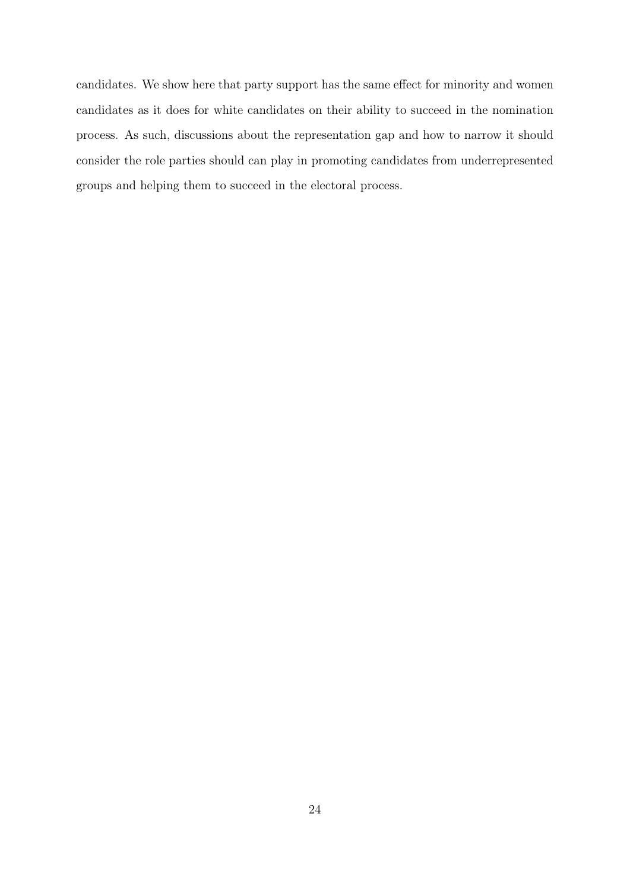candidates. We show here that party support has the same effect for minority and women candidates as it does for white candidates on their ability to succeed in the nomination process. As such, discussions about the representation gap and how to narrow it should consider the role parties should can play in promoting candidates from underrepresented groups and helping them to succeed in the electoral process.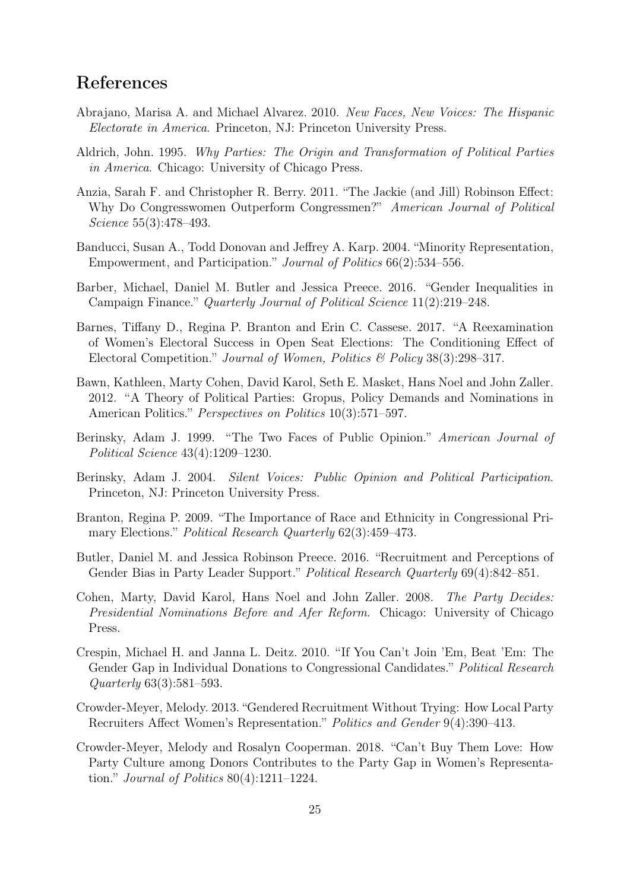## References

- <span id="page-27-4"></span>Abrajano, Marisa A. and Michael Alvarez. 2010. New Faces, New Voices: The Hispanic Electorate in America. Princeton, NJ: Princeton University Press.
- <span id="page-27-10"></span>Aldrich, John. 1995. Why Parties: The Origin and Transformation of Political Parties in America. Chicago: University of Chicago Press.
- <span id="page-27-13"></span>Anzia, Sarah F. and Christopher R. Berry. 2011. "The Jackie (and Jill) Robinson Effect: Why Do Congresswomen Outperform Congressmen?" American Journal of Political Science 55(3):478–493.
- <span id="page-27-0"></span>Banducci, Susan A., Todd Donovan and Jeffrey A. Karp. 2004. "Minority Representation, Empowerment, and Participation." Journal of Politics 66(2):534–556.
- <span id="page-27-11"></span>Barber, Michael, Daniel M. Butler and Jessica Preece. 2016. "Gender Inequalities in Campaign Finance." Quarterly Journal of Political Science 11(2):219–248.
- <span id="page-27-14"></span>Barnes, Tiffany D., Regina P. Branton and Erin C. Cassese. 2017. "A Reexamination of Women's Electoral Success in Open Seat Elections: The Conditioning Effect of Electoral Competition." Journal of Women, Politics & Policy 38(3):298–317.
- <span id="page-27-1"></span>Bawn, Kathleen, Marty Cohen, David Karol, Seth E. Masket, Hans Noel and John Zaller. 2012. "A Theory of Political Parties: Gropus, Policy Demands and Nominations in American Politics." *Perspectives on Politics* 10(3):571–597.
- <span id="page-27-8"></span>Berinsky, Adam J. 1999. "The Two Faces of Public Opinion." American Journal of Political Science 43(4):1209–1230.
- <span id="page-27-9"></span>Berinsky, Adam J. 2004. Silent Voices: Public Opinion and Political Participation. Princeton, NJ: Princeton University Press.
- <span id="page-27-12"></span>Branton, Regina P. 2009. "The Importance of Race and Ethnicity in Congressional Primary Elections." Political Research Quarterly 62(3):459–473.
- <span id="page-27-6"></span>Butler, Daniel M. and Jessica Robinson Preece. 2016. "Recruitment and Perceptions of Gender Bias in Party Leader Support." Political Research Quarterly 69(4):842–851.
- <span id="page-27-2"></span>Cohen, Marty, David Karol, Hans Noel and John Zaller. 2008. The Party Decides: Presidential Nominations Before and Afer Reform. Chicago: University of Chicago Press.
- <span id="page-27-7"></span>Crespin, Michael H. and Janna L. Deitz. 2010. "If You Can't Join 'Em, Beat 'Em: The Gender Gap in Individual Donations to Congressional Candidates." Political Research Quarterly 63(3):581–593.
- <span id="page-27-5"></span>Crowder-Meyer, Melody. 2013. "Gendered Recruitment Without Trying: How Local Party Recruiters Affect Women's Representation." Politics and Gender 9(4):390–413.
- <span id="page-27-3"></span>Crowder-Meyer, Melody and Rosalyn Cooperman. 2018. "Can't Buy Them Love: How Party Culture among Donors Contributes to the Party Gap in Women's Representation." Journal of Politics 80(4):1211–1224.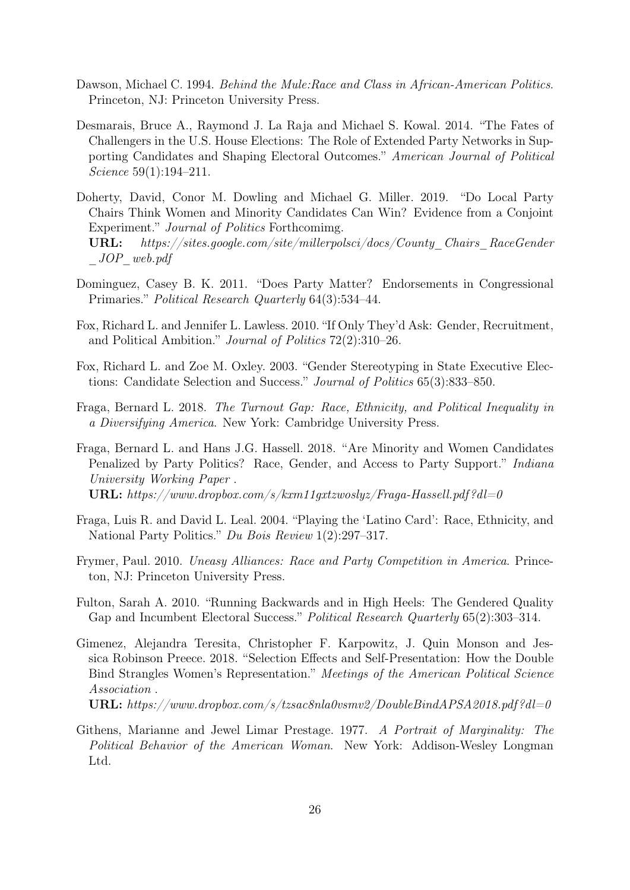- <span id="page-28-7"></span>Dawson, Michael C. 1994. Behind the Mule:Race and Class in African-American Politics. Princeton, NJ: Princeton University Press.
- <span id="page-28-2"></span>Desmarais, Bruce A., Raymond J. La Raja and Michael S. Kowal. 2014. "The Fates of Challengers in the U.S. House Elections: The Role of Extended Party Networks in Supporting Candidates and Shaping Electoral Outcomes." American Journal of Political Science 59(1):194–211.
- <span id="page-28-3"></span>Doherty, David, Conor M. Dowling and Michael G. Miller. 2019. "Do Local Party Chairs Think Women and Minority Candidates Can Win? Evidence from a Conjoint Experiment." *Journal of Politics* Forthcomimg. URL: https://sites.google.com/site/millerpolsci/docs/County\_Chairs\_RaceGender
- <span id="page-28-0"></span>Dominguez, Casey B. K. 2011. "Does Party Matter? Endorsements in Congressional Primaries." Political Research Quarterly 64(3):534–44.

 $\ _JOP \_web.pdf$ 

- <span id="page-28-6"></span>Fox, Richard L. and Jennifer L. Lawless. 2010. "If Only They'd Ask: Gender, Recruitment, and Political Ambition." Journal of Politics 72(2):310–26.
- <span id="page-28-11"></span>Fox, Richard L. and Zoe M. Oxley. 2003. "Gender Stereotyping in State Executive Elections: Candidate Selection and Success." Journal of Politics 65(3):833–850.
- <span id="page-28-10"></span>Fraga, Bernard L. 2018. The Turnout Gap: Race, Ethnicity, and Political Inequality in a Diversifying America. New York: Cambridge University Press.
- <span id="page-28-1"></span>Fraga, Bernard L. and Hans J.G. Hassell. 2018. "Are Minority and Women Candidates Penalized by Party Politics? Race, Gender, and Access to Party Support." Indiana University Working Paper . URL: https://www.dropbox.com/s/kxm11qxtzwoslyz/Fraga-Hassell.pdf?dl=0
- <span id="page-28-8"></span>Fraga, Luis R. and David L. Leal. 2004. "Playing the 'Latino Card': Race, Ethnicity, and National Party Politics." Du Bois Review 1(2):297–317.
- <span id="page-28-5"></span>Frymer, Paul. 2010. Uneasy Alliances: Race and Party Competition in America. Princeton, NJ: Princeton University Press.
- <span id="page-28-12"></span>Fulton, Sarah A. 2010. "Running Backwards and in High Heels: The Gendered Quality Gap and Incumbent Electoral Success." Political Research Quarterly 65(2):303–314.
- <span id="page-28-4"></span>Gimenez, Alejandra Teresita, Christopher F. Karpowitz, J. Quin Monson and Jessica Robinson Preece. 2018. "Selection Effects and Self-Presentation: How the Double Bind Strangles Women's Representation." Meetings of the American Political Science Association .

URL: https://www.dropbox.com/s/tzsac8nla0vsmv2/DoubleBindAPSA2018.pdf?dl=0

<span id="page-28-9"></span>Githens, Marianne and Jewel Limar Prestage. 1977. A Portrait of Marginality: The Political Behavior of the American Woman. New York: Addison-Wesley Longman Ltd.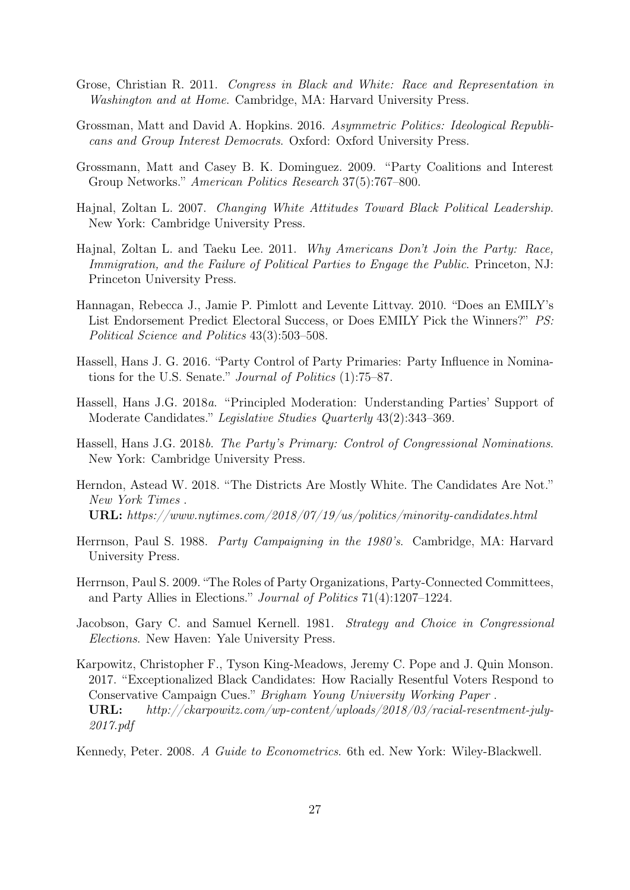- <span id="page-29-1"></span>Grose, Christian R. 2011. Congress in Black and White: Race and Representation in Washington and at Home. Cambridge, MA: Harvard University Press.
- <span id="page-29-13"></span>Grossman, Matt and David A. Hopkins. 2016. Asymmetric Politics: Ideological Republicans and Group Interest Democrats. Oxford: Oxford University Press.
- <span id="page-29-7"></span>Grossmann, Matt and Casey B. K. Dominguez. 2009. "Party Coalitions and Interest Group Networks." American Politics Research 37(5):767–800.
- <span id="page-29-10"></span>Hajnal, Zoltan L. 2007. Changing White Attitudes Toward Black Political Leadership. New York: Cambridge University Press.
- <span id="page-29-12"></span>Hajnal, Zoltan L. and Taeku Lee. 2011. Why Americans Don't Join the Party: Race, Immigration, and the Failure of Political Parties to Engage the Public. Princeton, NJ: Princeton University Press.
- <span id="page-29-9"></span>Hannagan, Rebecca J., Jamie P. Pimlott and Levente Littvay. 2010. "Does an EMILY's List Endorsement Predict Electoral Success, or Does EMILY Pick the Winners?" PS: Political Science and Politics 43(3):503–508.
- <span id="page-29-3"></span>Hassell, Hans J. G. 2016. "Party Control of Party Primaries: Party Influence in Nominations for the U.S. Senate." Journal of Politics (1):75–87.
- <span id="page-29-8"></span>Hassell, Hans J.G. 2018a. "Principled Moderation: Understanding Parties' Support of Moderate Candidates." *Legislative Studies Quarterly* 43(2):343–369.
- <span id="page-29-2"></span>Hassell, Hans J.G. 2018b. The Party's Primary: Control of Congressional Nominations. New York: Cambridge University Press.
- <span id="page-29-0"></span>Herndon, Astead W. 2018. "The Districts Are Mostly White. The Candidates Are Not." New York Times . URL: https://www.nytimes.com/2018/07/19/us/politics/minority-candidates.html
- <span id="page-29-6"></span>Herrnson, Paul S. 1988. Party Campaigning in the 1980's. Cambridge, MA: Harvard University Press.
- <span id="page-29-5"></span>Herrnson, Paul S. 2009. "The Roles of Party Organizations, Party-Connected Committees, and Party Allies in Elections." Journal of Politics 71(4):1207–1224.
- <span id="page-29-4"></span>Jacobson, Gary C. and Samuel Kernell. 1981. Strategy and Choice in Congressional Elections. New Haven: Yale University Press.
- <span id="page-29-11"></span>Karpowitz, Christopher F., Tyson King-Meadows, Jeremy C. Pope and J. Quin Monson. 2017. "Exceptionalized Black Candidates: How Racially Resentful Voters Respond to Conservative Campaign Cues." Brigham Young University Working Paper . URL: http://ckarpowitz.com/wp-content/uploads/2018/03/racial-resentment-july-2017.pdf
- <span id="page-29-14"></span>Kennedy, Peter. 2008. A Guide to Econometrics. 6th ed. New York: Wiley-Blackwell.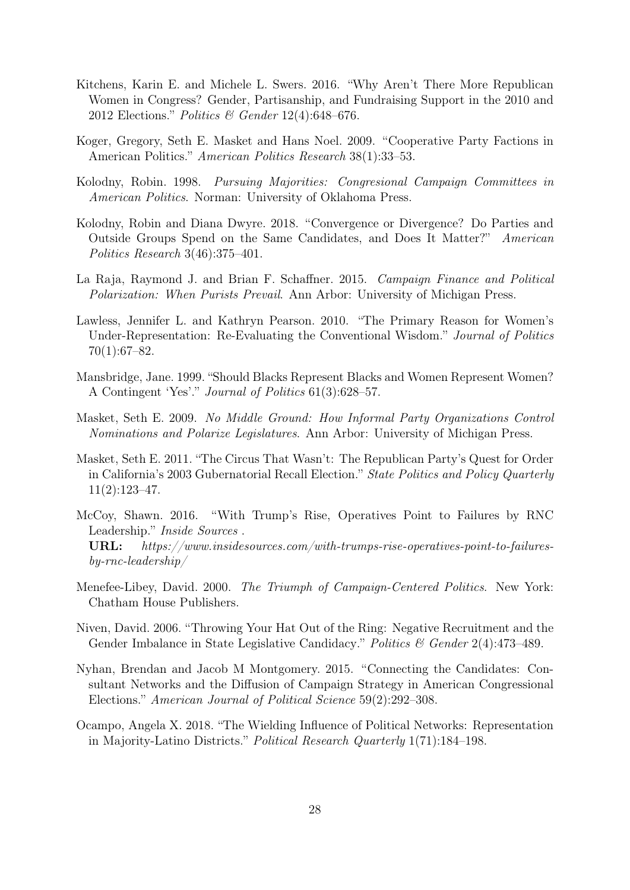- <span id="page-30-12"></span>Kitchens, Karin E. and Michele L. Swers. 2016. "Why Aren't There More Republican Women in Congress? Gender, Partisanship, and Fundraising Support in the 2010 and 2012 Elections." Politics & Gender 12(4):648–676.
- <span id="page-30-1"></span>Koger, Gregory, Seth E. Masket and Hans Noel. 2009. "Cooperative Party Factions in American Politics." American Politics Research 38(1):33–53.
- <span id="page-30-7"></span>Kolodny, Robin. 1998. Pursuing Majorities: Congresional Campaign Committees in American Politics. Norman: University of Oklahoma Press.
- <span id="page-30-4"></span>Kolodny, Robin and Diana Dwyre. 2018. "Convergence or Divergence? Do Parties and Outside Groups Spend on the Same Candidates, and Does It Matter?" American Politics Research 3(46):375–401.
- <span id="page-30-6"></span>La Raja, Raymond J. and Brian F. Schaffner. 2015. Campaign Finance and Political Polarization: When Purists Prevail. Ann Arbor: University of Michigan Press.
- <span id="page-30-13"></span>Lawless, Jennifer L. and Kathryn Pearson. 2010. "The Primary Reason for Women's Under-Representation: Re-Evaluating the Conventional Wisdom." Journal of Politics 70(1):67–82.
- <span id="page-30-0"></span>Mansbridge, Jane. 1999. "Should Blacks Represent Blacks and Women Represent Women? A Contingent 'Yes'." Journal of Politics 61(3):628–57.
- <span id="page-30-2"></span>Masket, Seth E. 2009. No Middle Ground: How Informal Party Organizations Control Nominations and Polarize Legislatures. Ann Arbor: University of Michigan Press.
- <span id="page-30-5"></span>Masket, Seth E. 2011. "The Circus That Wasn't: The Republican Party's Quest for Order in California's 2003 Gubernatorial Recall Election." State Politics and Policy Quarterly 11(2):123–47.
- <span id="page-30-10"></span>McCoy, Shawn. 2016. "With Trump's Rise, Operatives Point to Failures by RNC Leadership." *Inside Sources*. URL: https://www.insidesources.com/with-trumps-rise-operatives-point-to-failures $by$ - $mc$ -leadership
- <span id="page-30-8"></span>Menefee-Libey, David. 2000. The Triumph of Campaign-Centered Politics. New York: Chatham House Publishers.
- <span id="page-30-11"></span>Niven, David. 2006. "Throwing Your Hat Out of the Ring: Negative Recruitment and the Gender Imbalance in State Legislative Candidacy." Politics & Gender 2(4):473-489.
- <span id="page-30-9"></span>Nyhan, Brendan and Jacob M Montgomery. 2015. "Connecting the Candidates: Consultant Networks and the Diffusion of Campaign Strategy in American Congressional Elections." American Journal of Political Science 59(2):292–308.
- <span id="page-30-3"></span>Ocampo, Angela X. 2018. "The Wielding Influence of Political Networks: Representation in Majority-Latino Districts." Political Research Quarterly 1(71):184–198.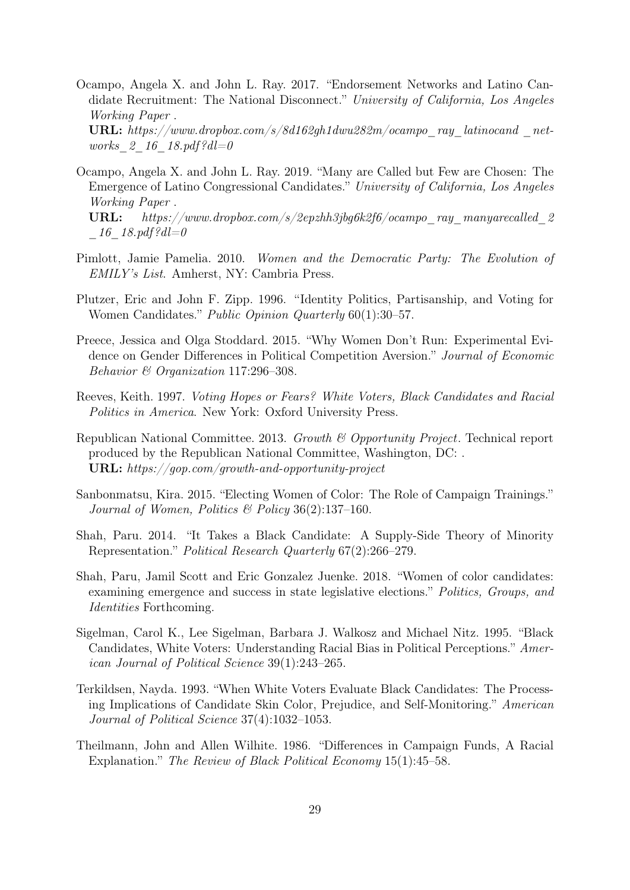- <span id="page-31-10"></span>Ocampo, Angela X. and John L. Ray. 2017. "Endorsement Networks and Latino Candidate Recruitment: The National Disconnect." University of California, Los Angeles Working Paper . URL: https://www.dropbox.com/s/8d162gh1dwu282m/ocampo\_ray\_latinocand net
	- works  $2$  16 18.pdf?dl=0
- <span id="page-31-5"></span>Ocampo, Angela X. and John L. Ray. 2019. "Many are Called but Few are Chosen: The Emergence of Latino Congressional Candidates." University of California, Los Angeles Working Paper . URL: https://www.dropbox.com/s/2epzhh3jbg6k2f6/ocampo\_ray\_manyarecalled\_2
	- $\_16\_18.pdf$ ?dl=0
- <span id="page-31-6"></span>Pimlott, Jamie Pamelia. 2010. Women and the Democratic Party: The Evolution of EMILY's List. Amherst, NY: Cambria Press.
- <span id="page-31-8"></span>Plutzer, Eric and John F. Zipp. 1996. "Identity Politics, Partisanship, and Voting for Women Candidates." Public Opinion Quarterly 60(1):30–57.
- <span id="page-31-12"></span>Preece, Jessica and Olga Stoddard. 2015. "Why Women Don't Run: Experimental Evidence on Gender Differences in Political Competition Aversion." Journal of Economic Behavior & Organization 117:296–308.
- <span id="page-31-2"></span>Reeves, Keith. 1997. Voting Hopes or Fears? White Voters, Black Candidates and Racial Politics in America. New York: Oxford University Press.
- <span id="page-31-4"></span>Republican National Committee. 2013. Growth & Opportunity Project. Technical report produced by the Republican National Committee, Washington, DC: . URL: https://gop.com/growth-and-opportunity-project
- <span id="page-31-1"></span>Sanbonmatsu, Kira. 2015. "Electing Women of Color: The Role of Campaign Trainings." Journal of Women, Politics & Policy  $36(2):137-160$ .
- <span id="page-31-11"></span>Shah, Paru. 2014. "It Takes a Black Candidate: A Supply-Side Theory of Minority Representation." Political Research Quarterly 67(2):266–279.
- <span id="page-31-9"></span>Shah, Paru, Jamil Scott and Eric Gonzalez Juenke. 2018. "Women of color candidates: examining emergence and success in state legislative elections." Politics, Groups, and Identities Forthcoming.
- <span id="page-31-7"></span>Sigelman, Carol K., Lee Sigelman, Barbara J. Walkosz and Michael Nitz. 1995. "Black Candidates, White Voters: Understanding Racial Bias in Political Perceptions." American Journal of Political Science 39(1):243–265.
- <span id="page-31-3"></span>Terkildsen, Nayda. 1993. "When White Voters Evaluate Black Candidates: The Processing Implications of Candidate Skin Color, Prejudice, and Self-Monitoring." American Journal of Political Science 37(4):1032–1053.
- <span id="page-31-0"></span>Theilmann, John and Allen Wilhite. 1986. "Differences in Campaign Funds, A Racial Explanation." The Review of Black Political Economy 15(1):45–58.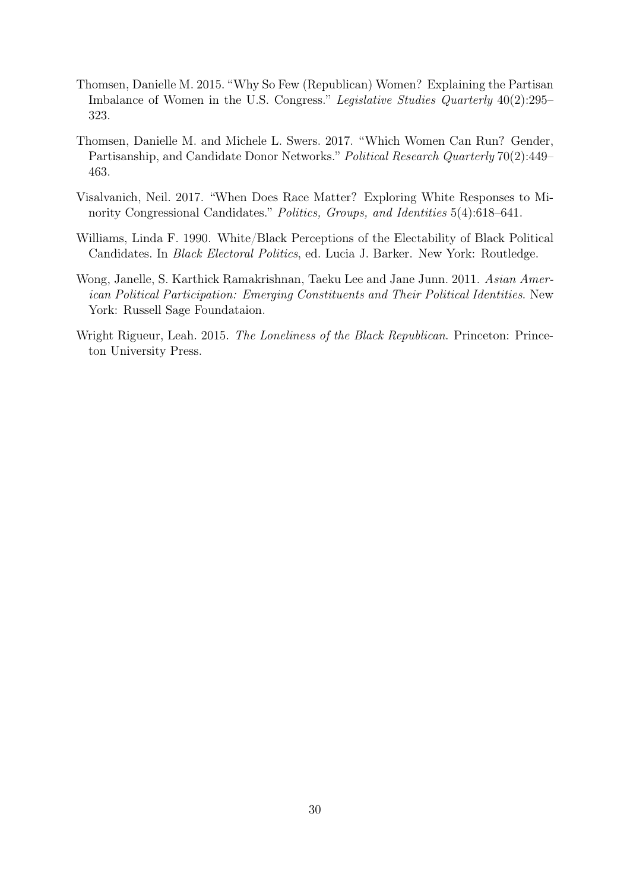- <span id="page-32-3"></span>Thomsen, Danielle M. 2015. "Why So Few (Republican) Women? Explaining the Partisan Imbalance of Women in the U.S. Congress." Legislative Studies Quarterly 40(2):295– 323.
- <span id="page-32-5"></span>Thomsen, Danielle M. and Michele L. Swers. 2017. "Which Women Can Run? Gender, Partisanship, and Candidate Donor Networks." Political Research Quarterly 70(2):449– 463.
- <span id="page-32-4"></span>Visalvanich, Neil. 2017. "When Does Race Matter? Exploring White Responses to Minority Congressional Candidates." Politics, Groups, and Identities 5(4):618–641.
- <span id="page-32-0"></span>Williams, Linda F. 1990. White/Black Perceptions of the Electability of Black Political Candidates. In Black Electoral Politics, ed. Lucia J. Barker. New York: Routledge.
- <span id="page-32-1"></span>Wong, Janelle, S. Karthick Ramakrishnan, Taeku Lee and Jane Junn. 2011. Asian American Political Participation: Emerging Constituents and Their Political Identities. New York: Russell Sage Foundataion.
- <span id="page-32-2"></span>Wright Rigueur, Leah. 2015. The Loneliness of the Black Republican. Princeton: Princeton University Press.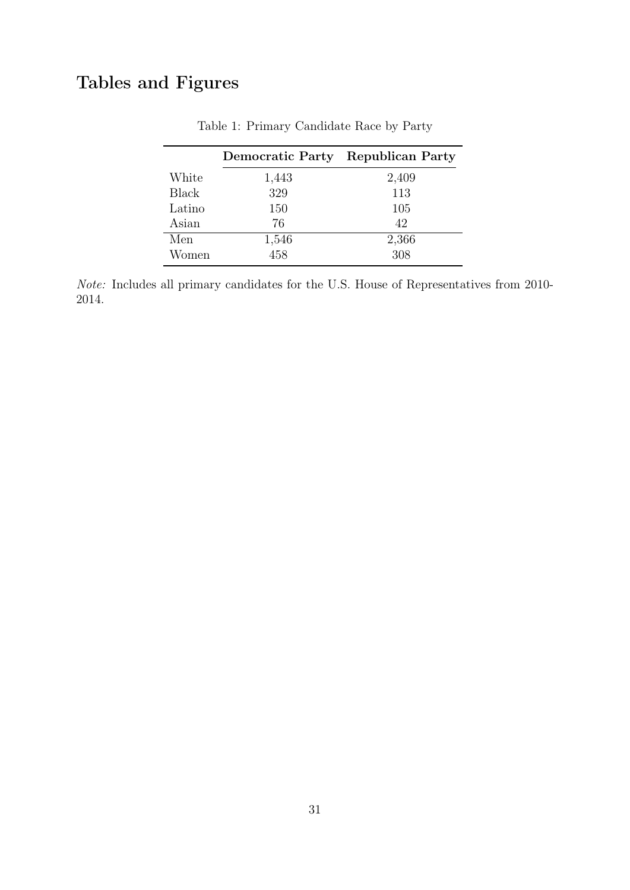## <span id="page-33-0"></span>Tables and Figures

|        | <b>Democratic Party</b> | <b>Republican Party</b> |
|--------|-------------------------|-------------------------|
| White  | 1,443                   | 2,409                   |
| Black  | 329                     | 113                     |
| Latino | 150                     | 105                     |
| Asian  | 76                      | 42                      |
| Men    | 1,546                   | 2,366                   |
| Women  | 458                     | 308                     |

Table 1: Primary Candidate Race by Party

Note: Includes all primary candidates for the U.S. House of Representatives from 2010- 2014.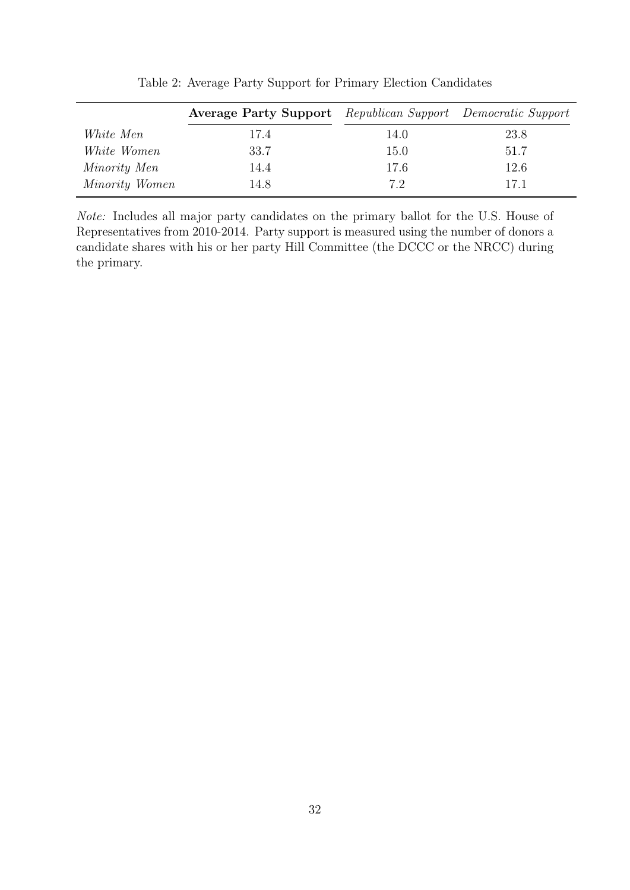<span id="page-34-0"></span>

|                | <b>Average Party Support</b> Republican Support Democratic Support |      |      |
|----------------|--------------------------------------------------------------------|------|------|
| White Men      | 17.4                                                               | 14.0 | 23.8 |
| White Women    | 33.7                                                               | 15.0 | 51.7 |
| Minority Men   | 14.4                                                               | 17.6 | 12.6 |
| Minority Women | 14.8                                                               | 7.2  | 17.1 |

Table 2: Average Party Support for Primary Election Candidates

Note: Includes all major party candidates on the primary ballot for the U.S. House of Representatives from 2010-2014. Party support is measured using the number of donors a candidate shares with his or her party Hill Committee (the DCCC or the NRCC) during the primary.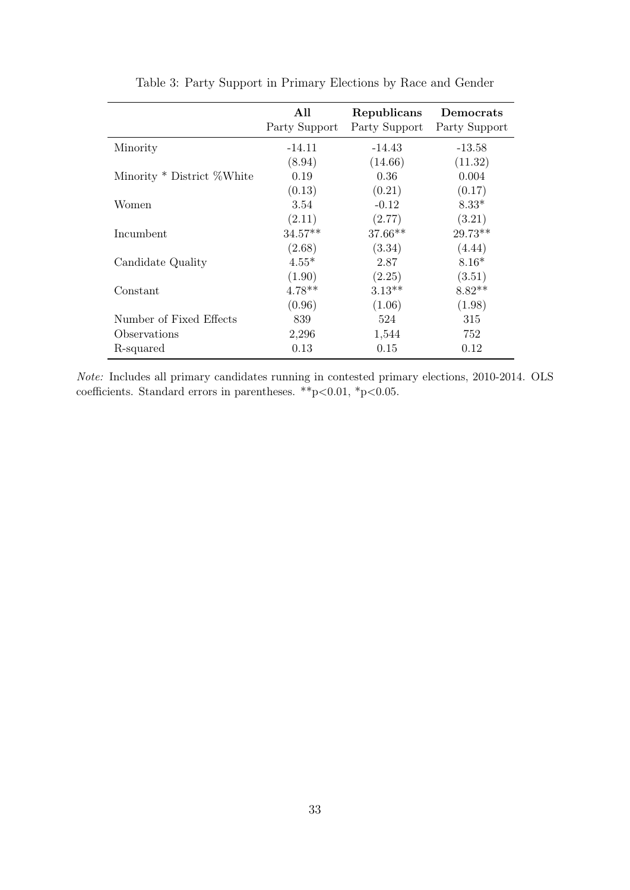<span id="page-35-0"></span>

|                            | All<br>Party Support | Republicans<br>Party Support | Democrats<br>Party Support |
|----------------------------|----------------------|------------------------------|----------------------------|
| Minority                   | $-14.11$             | $-14.43$                     | $-13.58$                   |
|                            | (8.94)               | (14.66)                      | (11.32)                    |
| Minority * District %White | 0.19                 | 0.36                         | 0.004                      |
|                            | (0.13)               | (0.21)                       | (0.17)                     |
| Women                      | 3.54                 | $-0.12$                      | $8.33*$                    |
|                            | (2.11)               | (2.77)                       | (3.21)                     |
| Incumbent                  | $34.57**$            | $37.66**$                    | $29.73**$                  |
|                            | (2.68)               | (3.34)                       | (4.44)                     |
| Candidate Quality          | $4.55*$              | 2.87                         | $8.16*$                    |
|                            | (1.90)               | (2.25)                       | (3.51)                     |
| Constant                   | $4.78**$             | $3.13**$                     | $8.82**$                   |
|                            | (0.96)               | (1.06)                       | (1.98)                     |
| Number of Fixed Effects    | 839                  | 524                          | 315                        |
| Observations               | 2,296                | 1,544                        | 752                        |
| R-squared                  | 0.13                 | 0.15                         | 0.12                       |

Table 3: Party Support in Primary Elections by Race and Gender

Note: Includes all primary candidates running in contested primary elections, 2010-2014. OLS coefficients. Standard errors in parentheses. \*\*p<0.01, \*p<0.05.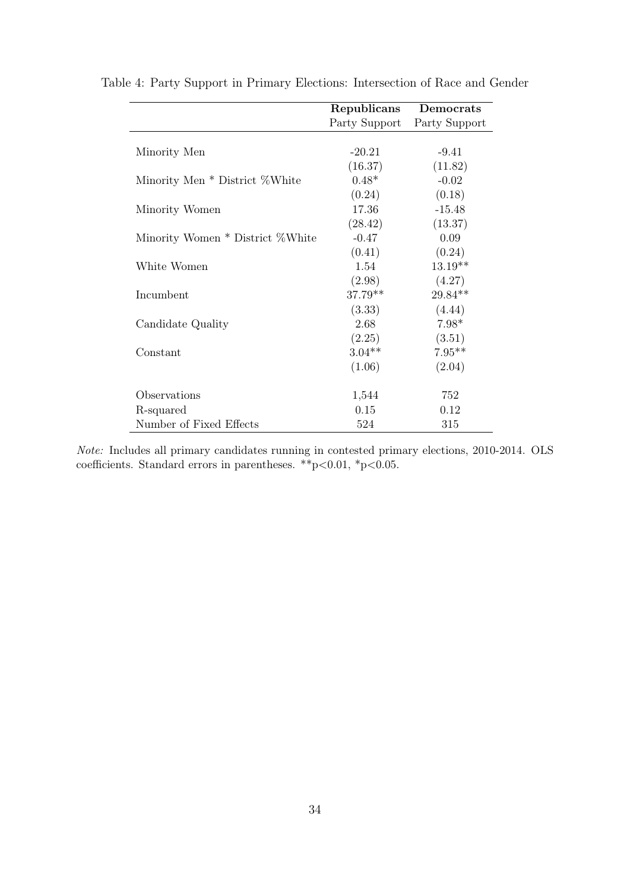|                                  | Republicans   | Democrats     |
|----------------------------------|---------------|---------------|
|                                  | Party Support | Party Support |
|                                  |               |               |
| Minority Men                     | $-20.21$      | $-9.41$       |
|                                  | (16.37)       | (11.82)       |
| Minority Men * District %White   | $0.48*$       | $-0.02$       |
|                                  | (0.24)        | (0.18)        |
| Minority Women                   | 17.36         | $-15.48$      |
|                                  | (28.42)       | (13.37)       |
| Minority Women * District %White | $-0.47$       | 0.09          |
|                                  | (0.41)        | (0.24)        |
| White Women                      | 1.54          | $13.19**$     |
|                                  | (2.98)        | (4.27)        |
| Incumbent                        | $37.79**$     | 29.84**       |
|                                  | (3.33)        | (4.44)        |
| Candidate Quality                | 2.68          | $7.98*$       |
|                                  | (2.25)        | (3.51)        |
| Constant                         | $3.04**$      | $7.95**$      |
|                                  | (1.06)        | (2.04)        |
|                                  |               |               |
| Observations                     | 1,544         | 752           |
| R-squared                        | 0.15          | 0.12          |
| Number of Fixed Effects          | 524           | 315           |

<span id="page-36-0"></span>Table 4: Party Support in Primary Elections: Intersection of Race and Gender

Note: Includes all primary candidates running in contested primary elections, 2010-2014. OLS coefficients. Standard errors in parentheses. \*\*p<0.01, \*p<0.05.